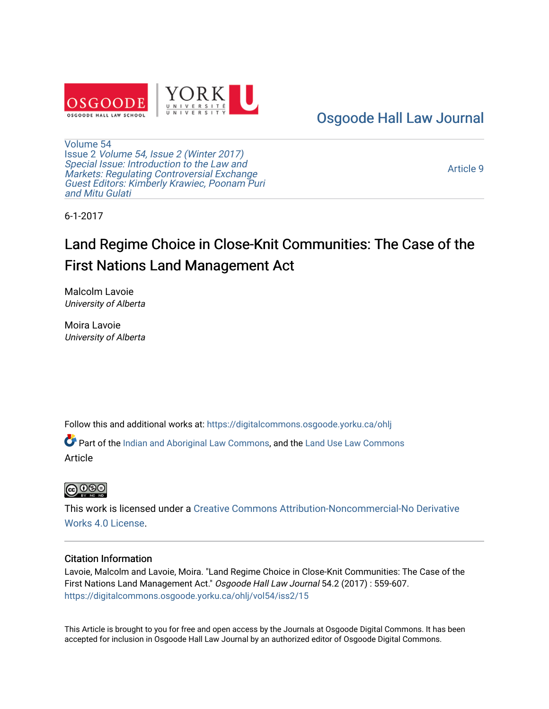

# [Osgoode Hall Law Journal](https://digitalcommons.osgoode.yorku.ca/ohlj)

[Volume 54](https://digitalcommons.osgoode.yorku.ca/ohlj/vol54) Issue 2 [Volume 54, Issue 2 \(Winter 2017\)](https://digitalcommons.osgoode.yorku.ca/ohlj/vol54/iss2)  Special Issue: Introduction to the Law and [Markets: Regulating Controversial Exchange](https://digitalcommons.osgoode.yorku.ca/ohlj/vol54/iss2)  [Guest Editors: Kimberly Krawiec, Poonam Puri](https://digitalcommons.osgoode.yorku.ca/ohlj/vol54/iss2) [and Mitu Gulati](https://digitalcommons.osgoode.yorku.ca/ohlj/vol54/iss2)

[Article 9](https://digitalcommons.osgoode.yorku.ca/ohlj/vol54/iss2/15) 

6-1-2017

# Land Regime Choice in Close-Knit Communities: The Case of the First Nations Land Management Act

Malcolm Lavoie University of Alberta

Moira Lavoie University of Alberta

Follow this and additional works at: [https://digitalcommons.osgoode.yorku.ca/ohlj](https://digitalcommons.osgoode.yorku.ca/ohlj?utm_source=digitalcommons.osgoode.yorku.ca%2Fohlj%2Fvol54%2Fiss2%2F15&utm_medium=PDF&utm_campaign=PDFCoverPages)

Part of the [Indian and Aboriginal Law Commons,](http://network.bepress.com/hgg/discipline/894?utm_source=digitalcommons.osgoode.yorku.ca%2Fohlj%2Fvol54%2Fiss2%2F15&utm_medium=PDF&utm_campaign=PDFCoverPages) and the [Land Use Law Commons](http://network.bepress.com/hgg/discipline/852?utm_source=digitalcommons.osgoode.yorku.ca%2Fohlj%2Fvol54%2Fiss2%2F15&utm_medium=PDF&utm_campaign=PDFCoverPages) Article



This work is licensed under a [Creative Commons Attribution-Noncommercial-No Derivative](https://creativecommons.org/licenses/by-nc-nd/4.0/)  [Works 4.0 License](https://creativecommons.org/licenses/by-nc-nd/4.0/).

# Citation Information

Lavoie, Malcolm and Lavoie, Moira. "Land Regime Choice in Close-Knit Communities: The Case of the First Nations Land Management Act." Osgoode Hall Law Journal 54.2 (2017) : 559-607. [https://digitalcommons.osgoode.yorku.ca/ohlj/vol54/iss2/15](https://digitalcommons.osgoode.yorku.ca/ohlj/vol54/iss2/15?utm_source=digitalcommons.osgoode.yorku.ca%2Fohlj%2Fvol54%2Fiss2%2F15&utm_medium=PDF&utm_campaign=PDFCoverPages)

This Article is brought to you for free and open access by the Journals at Osgoode Digital Commons. It has been accepted for inclusion in Osgoode Hall Law Journal by an authorized editor of Osgoode Digital Commons.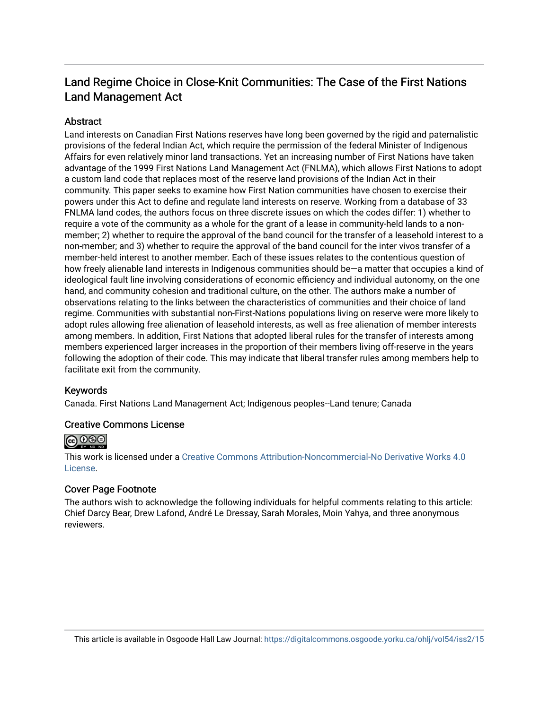# Land Regime Choice in Close-Knit Communities: The Case of the First Nations Land Management Act

# **Abstract**

Land interests on Canadian First Nations reserves have long been governed by the rigid and paternalistic provisions of the federal Indian Act, which require the permission of the federal Minister of Indigenous Affairs for even relatively minor land transactions. Yet an increasing number of First Nations have taken advantage of the 1999 First Nations Land Management Act (FNLMA), which allows First Nations to adopt a custom land code that replaces most of the reserve land provisions of the Indian Act in their community. This paper seeks to examine how First Nation communities have chosen to exercise their powers under this Act to define and regulate land interests on reserve. Working from a database of 33 FNLMA land codes, the authors focus on three discrete issues on which the codes differ: 1) whether to require a vote of the community as a whole for the grant of a lease in community-held lands to a nonmember; 2) whether to require the approval of the band council for the transfer of a leasehold interest to a non-member; and 3) whether to require the approval of the band council for the inter vivos transfer of a member-held interest to another member. Each of these issues relates to the contentious question of how freely alienable land interests in Indigenous communities should be—a matter that occupies a kind of ideological fault line involving considerations of economic efficiency and individual autonomy, on the one hand, and community cohesion and traditional culture, on the other. The authors make a number of observations relating to the links between the characteristics of communities and their choice of land regime. Communities with substantial non-First-Nations populations living on reserve were more likely to adopt rules allowing free alienation of leasehold interests, as well as free alienation of member interests among members. In addition, First Nations that adopted liberal rules for the transfer of interests among members experienced larger increases in the proportion of their members living off-reserve in the years following the adoption of their code. This may indicate that liberal transfer rules among members help to facilitate exit from the community.

# Keywords

Canada. First Nations Land Management Act; Indigenous peoples--Land tenure; Canada

# Creative Commons License



This work is licensed under a [Creative Commons Attribution-Noncommercial-No Derivative Works 4.0](https://creativecommons.org/licenses/by-nc-nd/4.0/) [License](https://creativecommons.org/licenses/by-nc-nd/4.0/).

# Cover Page Footnote

The authors wish to acknowledge the following individuals for helpful comments relating to this article: Chief Darcy Bear, Drew Lafond, André Le Dressay, Sarah Morales, Moin Yahya, and three anonymous reviewers.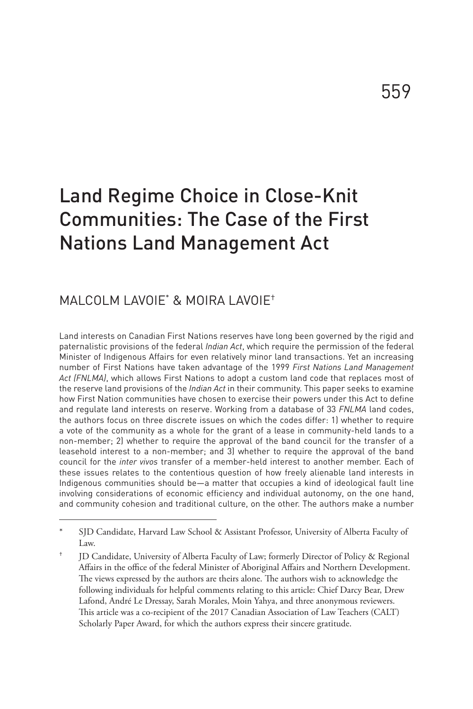# Land Regime Choice in Close-Knit Communities: The Case of the First Nations Land Management Act

# MALCOLM LAVOIE\* & MOIRA LAVOIE†

Land interests on Canadian First Nations reserves have long been governed by the rigid and paternalistic provisions of the federal *Indian Act*, which require the permission of the federal Minister of Indigenous Affairs for even relatively minor land transactions. Yet an increasing number of First Nations have taken advantage of the 1999 *First Nations Land Management Act (FNLMA)*, which allows First Nations to adopt a custom land code that replaces most of the reserve land provisions of the *Indian Act* in their community. This paper seeks to examine how First Nation communities have chosen to exercise their powers under this Act to define and regulate land interests on reserve. Working from a database of 33 *FNLMA* land codes, the authors focus on three discrete issues on which the codes differ: 1) whether to require a vote of the community as a whole for the grant of a lease in community-held lands to a non-member; 2) whether to require the approval of the band council for the transfer of a leasehold interest to a non-member; and 3) whether to require the approval of the band council for the *inter vivos* transfer of a member-held interest to another member. Each of these issues relates to the contentious question of how freely alienable land interests in Indigenous communities should be—a matter that occupies a kind of ideological fault line involving considerations of economic efficiency and individual autonomy, on the one hand, and community cohesion and traditional culture, on the other. The authors make a number

SJD Candidate, Harvard Law School & Assistant Professor, University of Alberta Faculty of Law.

<sup>†</sup> JD Candidate, University of Alberta Faculty of Law; formerly Director of Policy & Regional Affairs in the office of the federal Minister of Aboriginal Affairs and Northern Development. The views expressed by the authors are theirs alone. The authors wish to acknowledge the following individuals for helpful comments relating to this article: Chief Darcy Bear, Drew Lafond, André Le Dressay, Sarah Morales, Moin Yahya, and three anonymous reviewers. This article was a co-recipient of the 2017 Canadian Association of Law Teachers (CALT) Scholarly Paper Award, for which the authors express their sincere gratitude.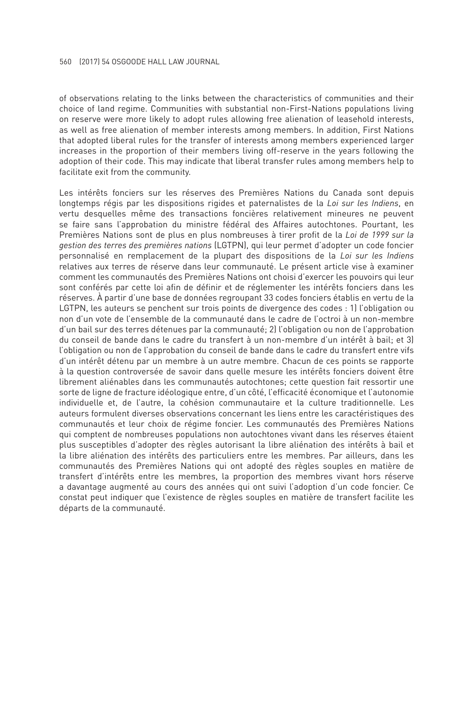of observations relating to the links between the characteristics of communities and their choice of land regime. Communities with substantial non-First-Nations populations living on reserve were more likely to adopt rules allowing free alienation of leasehold interests, as well as free alienation of member interests among members. In addition, First Nations that adopted liberal rules for the transfer of interests among members experienced larger increases in the proportion of their members living off-reserve in the years following the adoption of their code. This may indicate that liberal transfer rules among members help to facilitate exit from the community.

Les intérêts fonciers sur les réserves des Premières Nations du Canada sont depuis longtemps régis par les dispositions rigides et paternalistes de la *Loi sur les Indiens*, en vertu desquelles même des transactions foncières relativement mineures ne peuvent se faire sans l'approbation du ministre fédéral des Affaires autochtones. Pourtant, les Premières Nations sont de plus en plus nombreuses à tirer profit de la *Loi de 1999 sur la gestion des terres des premières nations* (LGTPN), qui leur permet d'adopter un code foncier personnalisé en remplacement de la plupart des dispositions de la *Loi sur les Indiens* relatives aux terres de réserve dans leur communauté. Le présent article vise à examiner comment les communautés des Premières Nations ont choisi d'exercer les pouvoirs qui leur sont conférés par cette loi afin de définir et de réglementer les intérêts fonciers dans les réserves. À partir d'une base de données regroupant 33 codes fonciers établis en vertu de la LGTPN, les auteurs se penchent sur trois points de divergence des codes : 1) l'obligation ou non d'un vote de l'ensemble de la communauté dans le cadre de l'octroi à un non-membre d'un bail sur des terres détenues par la communauté; 2) l'obligation ou non de l'approbation du conseil de bande dans le cadre du transfert à un non-membre d'un intérêt à bail; et 3) l'obligation ou non de l'approbation du conseil de bande dans le cadre du transfert entre vifs d'un intérêt détenu par un membre à un autre membre. Chacun de ces points se rapporte à la question controversée de savoir dans quelle mesure les intérêts fonciers doivent être librement aliénables dans les communautés autochtones; cette question fait ressortir une sorte de ligne de fracture idéologique entre, d'un côté, l'efficacité économique et l'autonomie individuelle et, de l'autre, la cohésion communautaire et la culture traditionnelle. Les auteurs formulent diverses observations concernant les liens entre les caractéristiques des communautés et leur choix de régime foncier. Les communautés des Premières Nations qui comptent de nombreuses populations non autochtones vivant dans les réserves étaient plus susceptibles d'adopter des règles autorisant la libre aliénation des intérêts à bail et la libre aliénation des intérêts des particuliers entre les membres. Par ailleurs, dans les communautés des Premières Nations qui ont adopté des règles souples en matière de transfert d'intérêts entre les membres, la proportion des membres vivant hors réserve a davantage augmenté au cours des années qui ont suivi l'adoption d'un code foncier. Ce constat peut indiquer que l'existence de règles souples en matière de transfert facilite les départs de la communauté.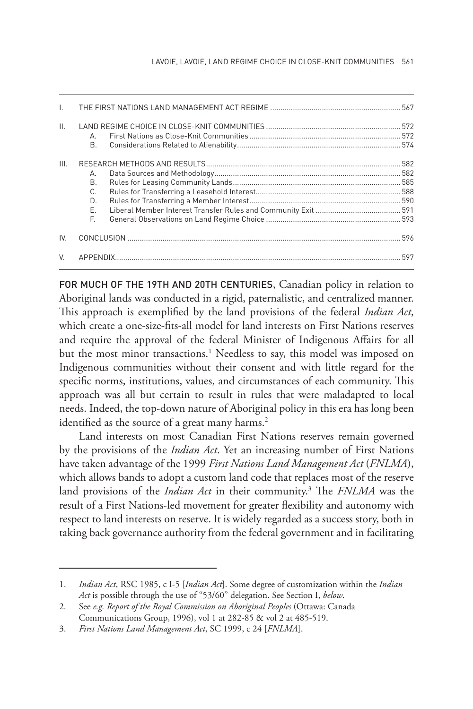| $\mathbf{L}$    |                                  |  |
|-----------------|----------------------------------|--|
| $\mathbf{II}$ . | А.<br><b>B.</b>                  |  |
| III.            | А.<br>В.<br>C.<br>D.<br>E.<br>F. |  |
| IV.             |                                  |  |
| V               |                                  |  |

FOR MUCH OF THE 19TH AND 20TH CENTURIES, Canadian policy in relation to Aboriginal lands was conducted in a rigid, paternalistic, and centralized manner. This approach is exemplified by the land provisions of the federal *Indian Act*, which create a one-size-fits-all model for land interests on First Nations reserves and require the approval of the federal Minister of Indigenous Affairs for all but the most minor transactions.<sup>1</sup> Needless to say, this model was imposed on Indigenous communities without their consent and with little regard for the specific norms, institutions, values, and circumstances of each community. This approach was all but certain to result in rules that were maladapted to local needs. Indeed, the top-down nature of Aboriginal policy in this era has long been identified as the source of a great many harms.<sup>2</sup>

Land interests on most Canadian First Nations reserves remain governed by the provisions of the *Indian Act*. Yet an increasing number of First Nations have taken advantage of the 1999 *First Nations Land Management Act* (*FNLMA*), which allows bands to adopt a custom land code that replaces most of the reserve land provisions of the *Indian Act* in their community.3 The *FNLMA* was the result of a First Nations-led movement for greater flexibility and autonomy with respect to land interests on reserve. It is widely regarded as a success story, both in taking back governance authority from the federal government and in facilitating

<sup>1.</sup> *Indian Act*, RSC 1985, c I-5 [*Indian Act*]. Some degree of customization within the *Indian Act* is possible through the use of "53/60" delegation. See Section I, *below*.

<sup>2.</sup> See *e.g. Report of the Royal Commission on Aboriginal Peoples* (Ottawa: Canada Communications Group, 1996), vol 1 at 282-85 & vol 2 at 485-519.

<sup>3.</sup> *First Nations Land Management Act*, SC 1999, c 24 [*FNLMA*].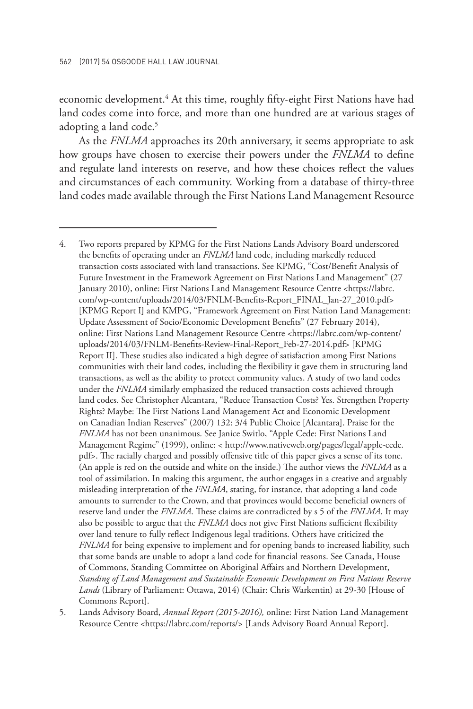economic development.<sup>4</sup> At this time, roughly fifty-eight First Nations have had land codes come into force, and more than one hundred are at various stages of adopting a land code.<sup>5</sup>

As the *FNLMA* approaches its 20th anniversary, it seems appropriate to ask how groups have chosen to exercise their powers under the *FNLMA* to define and regulate land interests on reserve, and how these choices reflect the values and circumstances of each community. Working from a database of thirty-three land codes made available through the First Nations Land Management Resource

5. Lands Advisory Board, *Annual Report (2015-2016),* online: First Nation Land Management Resource Centre <https://labrc.com/reports/> [Lands Advisory Board Annual Report].

<sup>4.</sup> Two reports prepared by KPMG for the First Nations Lands Advisory Board underscored the benefits of operating under an *FNLMA* land code, including markedly reduced transaction costs associated with land transactions. See KPMG, "Cost/Benefit Analysis of Future Investment in the Framework Agreement on First Nations Land Management" (27 January 2010), online: First Nations Land Management Resource Centre <https://labrc. com/wp-content/uploads/2014/03/FNLM-Benefits-Report\_FINAL\_Jan-27\_2010.pdf> [KPMG Report I] and KMPG, "Framework Agreement on First Nation Land Management: Update Assessment of Socio/Economic Development Benefits" (27 February 2014), online: First Nations Land Management Resource Centre <https://labrc.com/wp-content/ uploads/2014/03/FNLM-Benefits-Review-Final-Report\_Feb-27-2014.pdf> [KPMG Report II]. These studies also indicated a high degree of satisfaction among First Nations communities with their land codes, including the flexibility it gave them in structuring land transactions, as well as the ability to protect community values. A study of two land codes under the *FNLMA* similarly emphasized the reduced transaction costs achieved through land codes. See Christopher Alcantara, "Reduce Transaction Costs? Yes. Strengthen Property Rights? Maybe: The First Nations Land Management Act and Economic Development on Canadian Indian Reserves" (2007) 132: 3/4 Public Choice [Alcantara]. Praise for the *FNLMA* has not been unanimous. See Janice Switlo, "Apple Cede: First Nations Land Management Regime" (1999), online: < http://www.nativeweb.org/pages/legal/apple-cede. pdf>. The racially charged and possibly offensive title of this paper gives a sense of its tone. (An apple is red on the outside and white on the inside.) The author views the *FNLMA* as a tool of assimilation. In making this argument, the author engages in a creative and arguably misleading interpretation of the *FNLMA*, stating, for instance, that adopting a land code amounts to surrender to the Crown, and that provinces would become beneficial owners of reserve land under the *FNLMA*. These claims are contradicted by s 5 of the *FNLMA*. It may also be possible to argue that the *FNLMA* does not give First Nations sufficient flexibility over land tenure to fully reflect Indigenous legal traditions. Others have criticized the *FNLMA* for being expensive to implement and for opening bands to increased liability, such that some bands are unable to adopt a land code for financial reasons. See Canada, House of Commons, Standing Committee on Aboriginal Affairs and Northern Development, *Standing of Land Management and Sustainable Economic Development on First Nations Reserve Lands* (Library of Parliament: Ottawa, 2014) (Chair: Chris Warkentin) at 29-30 [House of Commons Report].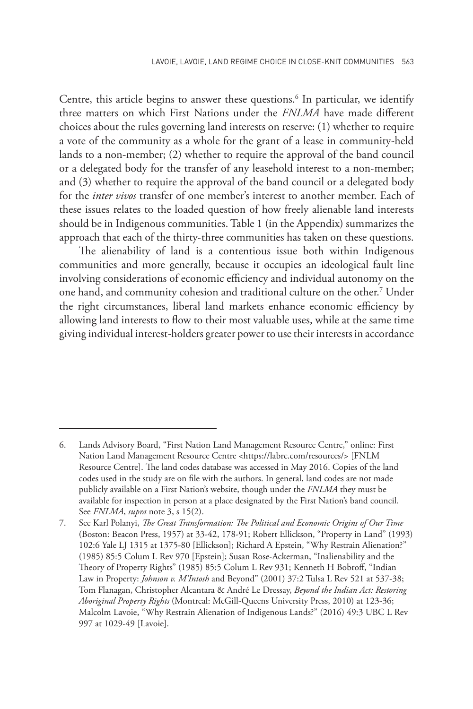Centre, this article begins to answer these questions.<sup>6</sup> In particular, we identify three matters on which First Nations under the *FNLMA* have made different choices about the rules governing land interests on reserve: (1) whether to require a vote of the community as a whole for the grant of a lease in community-held lands to a non-member; (2) whether to require the approval of the band council or a delegated body for the transfer of any leasehold interest to a non-member; and (3) whether to require the approval of the band council or a delegated body for the *inter vivos* transfer of one member's interest to another member. Each of these issues relates to the loaded question of how freely alienable land interests should be in Indigenous communities. Table 1 (in the Appendix) summarizes the approach that each of the thirty-three communities has taken on these questions.

The alienability of land is a contentious issue both within Indigenous communities and more generally, because it occupies an ideological fault line involving considerations of economic efficiency and individual autonomy on the one hand, and community cohesion and traditional culture on the other.<sup>7</sup> Under the right circumstances, liberal land markets enhance economic efficiency by allowing land interests to flow to their most valuable uses, while at the same time giving individual interest-holders greater power to use their interests in accordance

<sup>6.</sup> Lands Advisory Board, "First Nation Land Management Resource Centre," online: First Nation Land Management Resource Centre <https://labrc.com/resources/> [FNLM Resource Centre]. The land codes database was accessed in May 2016. Copies of the land codes used in the study are on file with the authors. In general, land codes are not made publicly available on a First Nation's website, though under the *FNLMA* they must be available for inspection in person at a place designated by the First Nation's band council. See *FNLMA*, *supra* note 3, s 15(2).

<sup>7.</sup> See Karl Polanyi, *The Great Transformation: The Political and Economic Origins of Our Time* (Boston: Beacon Press, 1957) at 33-42, 178-91; Robert Ellickson, "Property in Land" (1993) 102:6 Yale LJ 1315 at 1375-80 [Ellickson]; Richard A Epstein, "Why Restrain Alienation?" (1985) 85:5 Colum L Rev 970 [Epstein]; Susan Rose-Ackerman, "Inalienability and the Theory of Property Rights" (1985) 85:5 Colum L Rev 931; Kenneth H Bobroff, "Indian Law in Property: *Johnson v. M'Intosh* and Beyond" (2001) 37:2 Tulsa L Rev 521 at 537-38; Tom Flanagan, Christopher Alcantara & André Le Dressay, *Beyond the Indian Act: Restoring Aboriginal Property Rights* (Montreal: McGill-Queens University Press, 2010) at 123-36; Malcolm Lavoie, "Why Restrain Alienation of Indigenous Lands?" (2016) 49:3 UBC L Rev 997 at 1029-49 [Lavoie].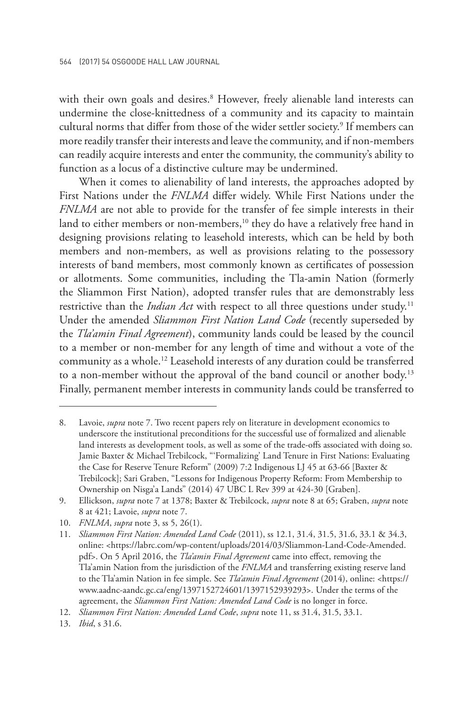with their own goals and desires.<sup>8</sup> However, freely alienable land interests can undermine the close-knittedness of a community and its capacity to maintain cultural norms that differ from those of the wider settler society.<sup>9</sup> If members can more readily transfer their interests and leave the community, and if non-members can readily acquire interests and enter the community, the community's ability to function as a locus of a distinctive culture may be undermined.

When it comes to alienability of land interests, the approaches adopted by First Nations under the *FNLMA* differ widely. While First Nations under the *FNLMA* are not able to provide for the transfer of fee simple interests in their land to either members or non-members,<sup>10</sup> they do have a relatively free hand in designing provisions relating to leasehold interests, which can be held by both members and non-members, as well as provisions relating to the possessory interests of band members, most commonly known as certificates of possession or allotments. Some communities, including the Tla-amin Nation (formerly the Sliammon First Nation), adopted transfer rules that are demonstrably less restrictive than the *Indian Act* with respect to all three questions under study.<sup>11</sup> Under the amended *Sliammon First Nation Land Code* (recently superseded by the *Tla'amin Final Agreement*), community lands could be leased by the council to a member or non-member for any length of time and without a vote of the community as a whole.12 Leasehold interests of any duration could be transferred to a non-member without the approval of the band council or another body.<sup>13</sup> Finally, permanent member interests in community lands could be transferred to

<sup>8.</sup> Lavoie, *supra* note 7. Two recent papers rely on literature in development economics to underscore the institutional preconditions for the successful use of formalized and alienable land interests as development tools, as well as some of the trade-offs associated with doing so. Jamie Baxter & Michael Trebilcock, "'Formalizing' Land Tenure in First Nations: Evaluating the Case for Reserve Tenure Reform" (2009) 7:2 Indigenous LJ 45 at 63-66 [Baxter & Trebilcock]; Sari Graben, "Lessons for Indigenous Property Reform: From Membership to Ownership on Nisga'a Lands" (2014) 47 UBC L Rev 399 at 424-30 [Graben].

<sup>9.</sup> Ellickson, *supra* note 7 at 1378; Baxter & Trebilcock, *supra* note 8 at 65; Graben, *supra* note 8 at 421; Lavoie, *supra* note 7.

<sup>10.</sup> *FNLMA*, *supra* note 3, ss 5, 26(1).

<sup>11.</sup> *Sliammon First Nation: Amended Land Code* (2011), ss 12.1, 31.4, 31.5, 31.6, 33.1 & 34.3, online: <https://labrc.com/wp-content/uploads/2014/03/Sliammon-Land-Code-Amended. pdf>. On 5 April 2016, the *Tla'amin Final Agreement* came into effect, removing the Tla'amin Nation from the jurisdiction of the *FNLMA* and transferring existing reserve land to the Tla'amin Nation in fee simple. See *Tla'amin Final Agreement* (2014), online: <https:// www.aadnc-aandc.gc.ca/eng/1397152724601/1397152939293>. Under the terms of the agreement, the *Sliammon First Nation: Amended Land Code* is no longer in force.

<sup>12.</sup> *Sliammon First Nation: Amended Land Code*, *supra* note 11, ss 31.4, 31.5, 33.1.

<sup>13.</sup> *Ibid*, s 31.6.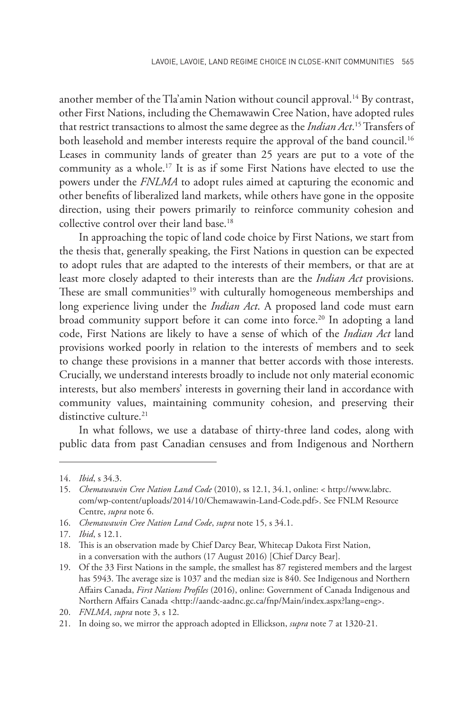another member of the Tla'amin Nation without council approval.<sup>14</sup> By contrast, other First Nations, including the Chemawawin Cree Nation, have adopted rules that restrict transactions to almost the same degree as the *Indian Act*. 15 Transfers of both leasehold and member interests require the approval of the band council.<sup>16</sup> Leases in community lands of greater than 25 years are put to a vote of the community as a whole.17 It is as if some First Nations have elected to use the powers under the *FNLMA* to adopt rules aimed at capturing the economic and other benefits of liberalized land markets, while others have gone in the opposite direction, using their powers primarily to reinforce community cohesion and collective control over their land base.18

In approaching the topic of land code choice by First Nations, we start from the thesis that, generally speaking, the First Nations in question can be expected to adopt rules that are adapted to the interests of their members, or that are at least more closely adapted to their interests than are the *Indian Act* provisions. These are small communities<sup>19</sup> with culturally homogeneous memberships and long experience living under the *Indian Act*. A proposed land code must earn broad community support before it can come into force.<sup>20</sup> In adopting a land code, First Nations are likely to have a sense of which of the *Indian Act* land provisions worked poorly in relation to the interests of members and to seek to change these provisions in a manner that better accords with those interests. Crucially, we understand interests broadly to include not only material economic interests, but also members' interests in governing their land in accordance with community values, maintaining community cohesion, and preserving their distinctive culture.<sup>21</sup>

In what follows, we use a database of thirty-three land codes, along with public data from past Canadian censuses and from Indigenous and Northern

<sup>14.</sup> *Ibid*, s 34.3.

<sup>15.</sup> *Chemawawin Cree Nation Land Code* (2010), ss 12.1, 34.1, online: < http://www.labrc. com/wp-content/uploads/2014/10/Chemawawin-Land-Code.pdf>. See FNLM Resource Centre, *supra* note 6.

<sup>16.</sup> *Chemawawin Cree Nation Land Code*, *supra* note 15, s 34.1.

<sup>17.</sup> *Ibid*, s 12.1.

<sup>18.</sup> This is an observation made by Chief Darcy Bear, Whitecap Dakota First Nation, in a conversation with the authors (17 August 2016) [Chief Darcy Bear].

<sup>19.</sup> Of the 33 First Nations in the sample, the smallest has 87 registered members and the largest has 5943. The average size is 1037 and the median size is 840. See Indigenous and Northern Affairs Canada, *First Nations Profiles* (2016), online: Government of Canada Indigenous and Northern Affairs Canada <http://aandc-aadnc.gc.ca/fnp/Main/index.aspx?lang=eng>.

<sup>20.</sup> *FNLMA*, *supra* note 3, s 12.

<sup>21.</sup> In doing so, we mirror the approach adopted in Ellickson, *supra* note 7 at 1320-21.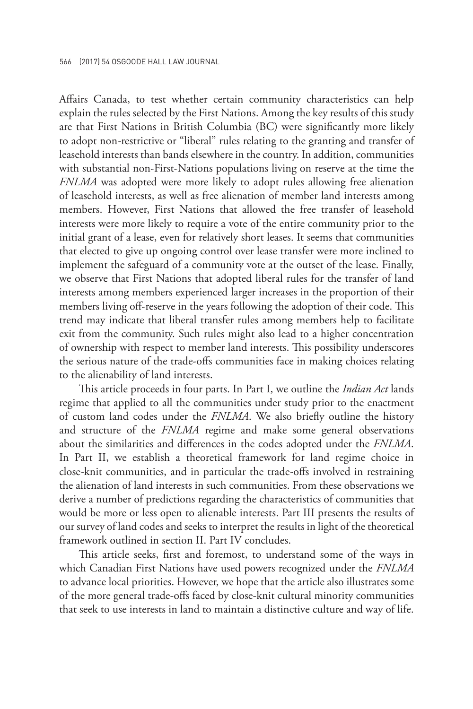Affairs Canada, to test whether certain community characteristics can help explain the rules selected by the First Nations. Among the key results of this study are that First Nations in British Columbia (BC) were significantly more likely to adopt non-restrictive or "liberal" rules relating to the granting and transfer of leasehold interests than bands elsewhere in the country. In addition, communities with substantial non-First-Nations populations living on reserve at the time the *FNLMA* was adopted were more likely to adopt rules allowing free alienation of leasehold interests, as well as free alienation of member land interests among members. However, First Nations that allowed the free transfer of leasehold interests were more likely to require a vote of the entire community prior to the initial grant of a lease, even for relatively short leases. It seems that communities that elected to give up ongoing control over lease transfer were more inclined to implement the safeguard of a community vote at the outset of the lease. Finally, we observe that First Nations that adopted liberal rules for the transfer of land interests among members experienced larger increases in the proportion of their members living off-reserve in the years following the adoption of their code. This trend may indicate that liberal transfer rules among members help to facilitate exit from the community. Such rules might also lead to a higher concentration of ownership with respect to member land interests. This possibility underscores the serious nature of the trade-offs communities face in making choices relating to the alienability of land interests.

This article proceeds in four parts. In Part I, we outline the *Indian Act* lands regime that applied to all the communities under study prior to the enactment of custom land codes under the *FNLMA*. We also briefly outline the history and structure of the *FNLMA* regime and make some general observations about the similarities and differences in the codes adopted under the *FNLMA*. In Part II, we establish a theoretical framework for land regime choice in close-knit communities, and in particular the trade-offs involved in restraining the alienation of land interests in such communities. From these observations we derive a number of predictions regarding the characteristics of communities that would be more or less open to alienable interests. Part III presents the results of our survey of land codes and seeks to interpret the results in light of the theoretical framework outlined in section II. Part IV concludes.

This article seeks, first and foremost, to understand some of the ways in which Canadian First Nations have used powers recognized under the *FNLMA* to advance local priorities. However, we hope that the article also illustrates some of the more general trade-offs faced by close-knit cultural minority communities that seek to use interests in land to maintain a distinctive culture and way of life.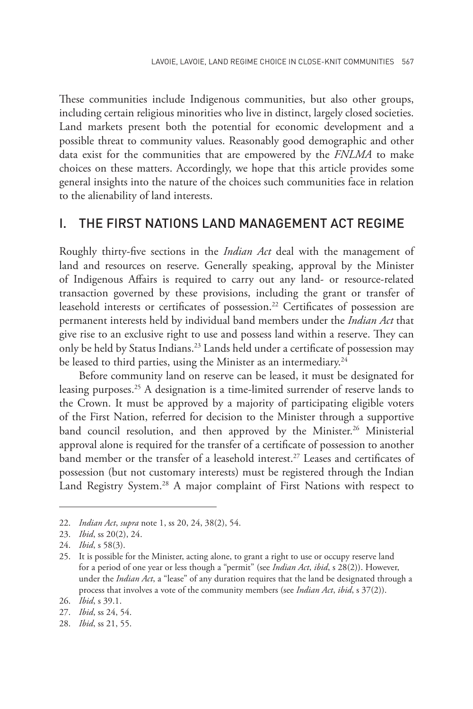These communities include Indigenous communities, but also other groups, including certain religious minorities who live in distinct, largely closed societies. Land markets present both the potential for economic development and a possible threat to community values. Reasonably good demographic and other data exist for the communities that are empowered by the *FNLMA* to make choices on these matters. Accordingly, we hope that this article provides some general insights into the nature of the choices such communities face in relation to the alienability of land interests.

## I. THE FIRST NATIONS LAND MANAGEMENT ACT REGIME

Roughly thirty-five sections in the *Indian Act* deal with the management of land and resources on reserve. Generally speaking, approval by the Minister of Indigenous Affairs is required to carry out any land- or resource-related transaction governed by these provisions, including the grant or transfer of leasehold interests or certificates of possession.<sup>22</sup> Certificates of possession are permanent interests held by individual band members under the *Indian Act* that give rise to an exclusive right to use and possess land within a reserve. They can only be held by Status Indians.23 Lands held under a certificate of possession may be leased to third parties, using the Minister as an intermediary.<sup>24</sup>

Before community land on reserve can be leased, it must be designated for leasing purposes.25 A designation is a time-limited surrender of reserve lands to the Crown. It must be approved by a majority of participating eligible voters of the First Nation, referred for decision to the Minister through a supportive band council resolution, and then approved by the Minister.<sup>26</sup> Ministerial approval alone is required for the transfer of a certificate of possession to another band member or the transfer of a leasehold interest.<sup>27</sup> Leases and certificates of possession (but not customary interests) must be registered through the Indian Land Registry System.<sup>28</sup> A major complaint of First Nations with respect to

<sup>22.</sup> *Indian Act*, *supra* note 1, ss 20, 24, 38(2), 54.

<sup>23.</sup> *Ibid*, ss 20(2), 24.

<sup>24.</sup> *Ibid*, s 58(3).

<sup>25.</sup> It is possible for the Minister, acting alone, to grant a right to use or occupy reserve land for a period of one year or less though a "permit" (see *Indian Act*, *ibid*, s 28(2)). However, under the *Indian Act*, a "lease" of any duration requires that the land be designated through a process that involves a vote of the community members (see *Indian Act*, *ibid*, s 37(2)).

<sup>26.</sup> *Ibid*, s 39.1.

<sup>27.</sup> *Ibid*, ss 24, 54.

<sup>28.</sup> *Ibid*, ss 21, 55.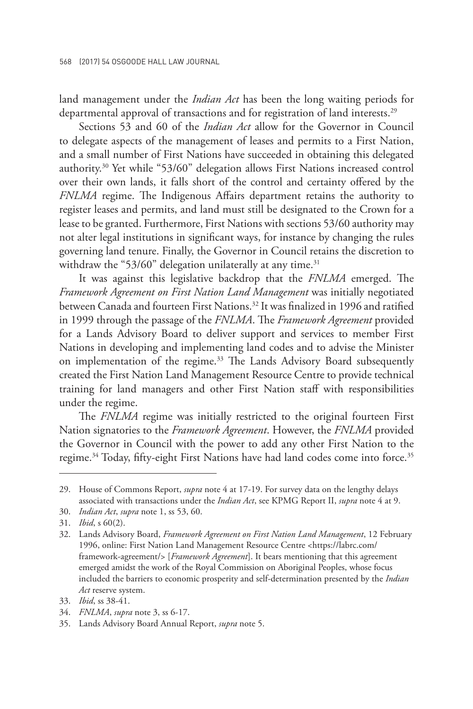land management under the *Indian Act* has been the long waiting periods for departmental approval of transactions and for registration of land interests.<sup>29</sup>

Sections 53 and 60 of the *Indian Act* allow for the Governor in Council to delegate aspects of the management of leases and permits to a First Nation, and a small number of First Nations have succeeded in obtaining this delegated authority.30 Yet while "53/60" delegation allows First Nations increased control over their own lands, it falls short of the control and certainty offered by the *FNLMA* regime. The Indigenous Affairs department retains the authority to register leases and permits, and land must still be designated to the Crown for a lease to be granted. Furthermore, First Nations with sections 53/60 authority may not alter legal institutions in significant ways, for instance by changing the rules governing land tenure. Finally, the Governor in Council retains the discretion to withdraw the "53/60" delegation unilaterally at any time. $31$ 

It was against this legislative backdrop that the *FNLMA* emerged. The *Framework Agreement on First Nation Land Management* was initially negotiated between Canada and fourteen First Nations.32 It was finalized in 1996 and ratified in 1999 through the passage of the *FNLMA*. The *Framework Agreement* provided for a Lands Advisory Board to deliver support and services to member First Nations in developing and implementing land codes and to advise the Minister on implementation of the regime.<sup>33</sup> The Lands Advisory Board subsequently created the First Nation Land Management Resource Centre to provide technical training for land managers and other First Nation staff with responsibilities under the regime.

The *FNLMA* regime was initially restricted to the original fourteen First Nation signatories to the *Framework Agreement*. However, the *FNLMA* provided the Governor in Council with the power to add any other First Nation to the regime.<sup>34</sup> Today, fifty-eight First Nations have had land codes come into force.<sup>35</sup>

<sup>29.</sup> House of Commons Report, *supra* note 4 at 17-19. For survey data on the lengthy delays associated with transactions under the *Indian Act*, see KPMG Report II, *supra* note 4 at 9.

<sup>30.</sup> *Indian Act*, *supra* note 1, ss 53, 60.

<sup>31.</sup> *Ibid*, s 60(2).

<sup>32.</sup> Lands Advisory Board, *Framework Agreement on First Nation Land Management*, 12 February 1996, online: First Nation Land Management Resource Centre <https://labrc.com/ framework-agreement/> [*Framework Agreement*]. It bears mentioning that this agreement emerged amidst the work of the Royal Commission on Aboriginal Peoples, whose focus included the barriers to economic prosperity and self-determination presented by the *Indian Act* reserve system.

<sup>33.</sup> *Ibid*, ss 38-41.

<sup>34.</sup> *FNLMA*, *supra* note 3, ss 6-17.

<sup>35.</sup> Lands Advisory Board Annual Report, *supra* note 5.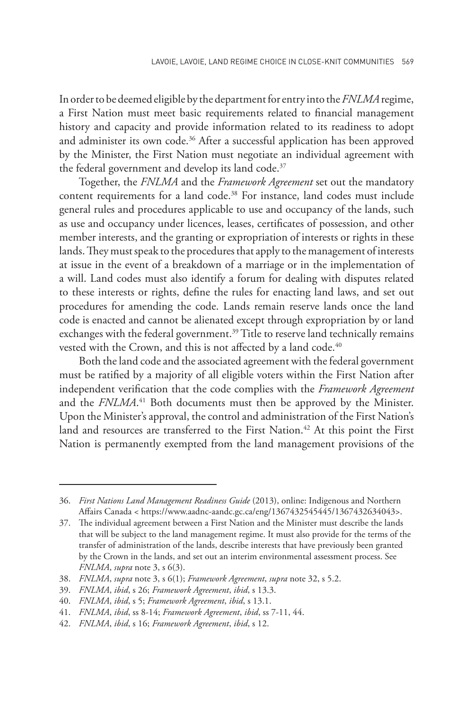In order to be deemed eligible by the department for entry into the *FNLMA* regime, a First Nation must meet basic requirements related to financial management history and capacity and provide information related to its readiness to adopt and administer its own code.<sup>36</sup> After a successful application has been approved by the Minister, the First Nation must negotiate an individual agreement with the federal government and develop its land code.<sup>37</sup>

Together, the *FNLMA* and the *Framework Agreement* set out the mandatory content requirements for a land code.<sup>38</sup> For instance, land codes must include general rules and procedures applicable to use and occupancy of the lands, such as use and occupancy under licences, leases, certificates of possession, and other member interests, and the granting or expropriation of interests or rights in these lands. They must speak to the procedures that apply to the management of interests at issue in the event of a breakdown of a marriage or in the implementation of a will. Land codes must also identify a forum for dealing with disputes related to these interests or rights, define the rules for enacting land laws, and set out procedures for amending the code. Lands remain reserve lands once the land code is enacted and cannot be alienated except through expropriation by or land exchanges with the federal government.<sup>39</sup> Title to reserve land technically remains vested with the Crown, and this is not affected by a land code.<sup>40</sup>

Both the land code and the associated agreement with the federal government must be ratified by a majority of all eligible voters within the First Nation after independent verification that the code complies with the *Framework Agreement*  and the *FNLMA*. 41 Both documents must then be approved by the Minister. Upon the Minister's approval, the control and administration of the First Nation's land and resources are transferred to the First Nation.<sup>42</sup> At this point the First Nation is permanently exempted from the land management provisions of the

<sup>36.</sup> *First Nations Land Management Readiness Guide* (2013), online: Indigenous and Northern Affairs Canada < https://www.aadnc-aandc.gc.ca/eng/1367432545445/1367432634043>.

<sup>37.</sup> The individual agreement between a First Nation and the Minister must describe the lands that will be subject to the land management regime. It must also provide for the terms of the transfer of administration of the lands, describe interests that have previously been granted by the Crown in the lands, and set out an interim environmental assessment process. See *FNLMA*, *supra* note 3, s 6(3).

<sup>38.</sup> *FNLMA*, *supra* note 3, s 6(1); *Framework Agreement*, *supra* note 32, s 5.2.

<sup>39.</sup> *FNLMA*, *ibid*, s 26; *Framework Agreement*, *ibid*, s 13.3.

<sup>40.</sup> *FNLMA*, *ibid*, s 5; *Framework Agreement*, *ibid*, s 13.1.

<sup>41.</sup> *FNLMA*, *ibid*, ss 8-14; *Framework Agreement*, *ibid*, ss 7-11, 44.

<sup>42.</sup> *FNLMA*, *ibid*, s 16; *Framework Agreement*, *ibid*, s 12.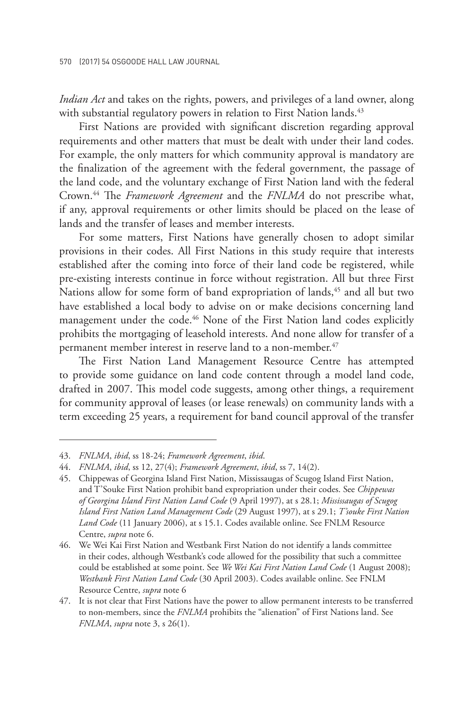*Indian Act* and takes on the rights, powers, and privileges of a land owner, along with substantial regulatory powers in relation to First Nation lands.<sup>43</sup>

First Nations are provided with significant discretion regarding approval requirements and other matters that must be dealt with under their land codes. For example, the only matters for which community approval is mandatory are the finalization of the agreement with the federal government, the passage of the land code, and the voluntary exchange of First Nation land with the federal Crown.44 The *Framework Agreement* and the *FNLMA* do not prescribe what, if any, approval requirements or other limits should be placed on the lease of lands and the transfer of leases and member interests.

For some matters, First Nations have generally chosen to adopt similar provisions in their codes. All First Nations in this study require that interests established after the coming into force of their land code be registered, while pre-existing interests continue in force without registration. All but three First Nations allow for some form of band expropriation of lands,<sup>45</sup> and all but two have established a local body to advise on or make decisions concerning land management under the code.<sup>46</sup> None of the First Nation land codes explicitly prohibits the mortgaging of leasehold interests. And none allow for transfer of a permanent member interest in reserve land to a non-member.<sup>47</sup>

The First Nation Land Management Resource Centre has attempted to provide some guidance on land code content through a model land code, drafted in 2007. This model code suggests, among other things, a requirement for community approval of leases (or lease renewals) on community lands with a term exceeding 25 years, a requirement for band council approval of the transfer

<sup>43.</sup> *FNLMA*, *ibid*, ss 18-24; *Framework Agreement*, *ibid*.

<sup>44.</sup> *FNLMA*, *ibid*, ss 12, 27(4); *Framework Agreement*, *ibid*, ss 7, 14(2).

<sup>45.</sup> Chippewas of Georgina Island First Nation, Mississaugas of Scugog Island First Nation, and T'Souke First Nation prohibit band expropriation under their codes. See *Chippewas of Georgina Island First Nation Land Code* (9 April 1997), at s 28.1; *Mississaugas of Scugog Island First Nation Land Management Code* (29 August 1997), at s 29.1; *T'souke First Nation Land Code* (11 January 2006), at s 15.1. Codes available online. See FNLM Resource Centre, *supra* note 6.

<sup>46.</sup> We Wei Kai First Nation and Westbank First Nation do not identify a lands committee in their codes, although Westbank's code allowed for the possibility that such a committee could be established at some point. See *We Wei Kai First Nation Land Code* (1 August 2008); *Westbank First Nation Land Code* (30 April 2003). Codes available online. See FNLM Resource Centre, *supra* note 6

<sup>47.</sup> It is not clear that First Nations have the power to allow permanent interests to be transferred to non-members, since the *FNLMA* prohibits the "alienation" of First Nations land. See *FNLMA*, *supra* note 3, s 26(1).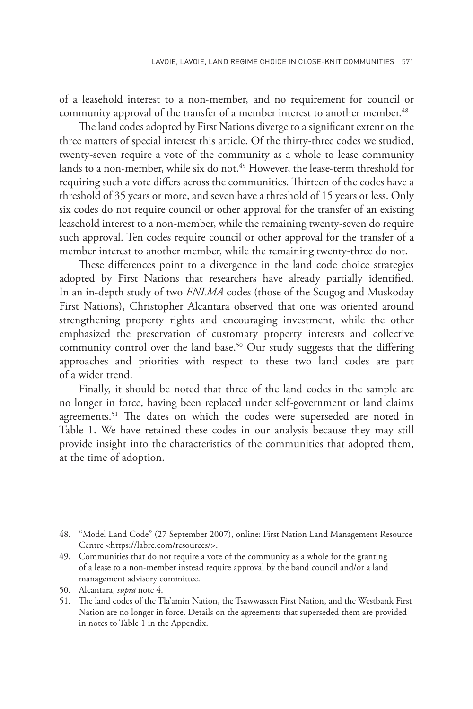of a leasehold interest to a non-member, and no requirement for council or community approval of the transfer of a member interest to another member.<sup>48</sup>

The land codes adopted by First Nations diverge to a significant extent on the three matters of special interest this article. Of the thirty-three codes we studied, twenty-seven require a vote of the community as a whole to lease community lands to a non-member, while six do not.<sup>49</sup> However, the lease-term threshold for requiring such a vote differs across the communities. Thirteen of the codes have a threshold of 35 years or more, and seven have a threshold of 15 years or less. Only six codes do not require council or other approval for the transfer of an existing leasehold interest to a non-member, while the remaining twenty-seven do require such approval. Ten codes require council or other approval for the transfer of a member interest to another member, while the remaining twenty-three do not.

These differences point to a divergence in the land code choice strategies adopted by First Nations that researchers have already partially identified. In an in-depth study of two *FNLMA* codes (those of the Scugog and Muskoday First Nations), Christopher Alcantara observed that one was oriented around strengthening property rights and encouraging investment, while the other emphasized the preservation of customary property interests and collective community control over the land base.<sup>50</sup> Our study suggests that the differing approaches and priorities with respect to these two land codes are part of a wider trend.

Finally, it should be noted that three of the land codes in the sample are no longer in force, having been replaced under self-government or land claims agreements.<sup>51</sup> The dates on which the codes were superseded are noted in Table 1. We have retained these codes in our analysis because they may still provide insight into the characteristics of the communities that adopted them, at the time of adoption.

<sup>48.</sup> "Model Land Code" (27 September 2007), online: First Nation Land Management Resource Centre <https://labrc.com/resources/>.

<sup>49.</sup> Communities that do not require a vote of the community as a whole for the granting of a lease to a non-member instead require approval by the band council and/or a land management advisory committee.

<sup>50.</sup> Alcantara, *supra* note 4.

<sup>51.</sup> The land codes of the Tla'amin Nation, the Tsawwassen First Nation, and the Westbank First Nation are no longer in force. Details on the agreements that superseded them are provided in notes to Table 1 in the Appendix.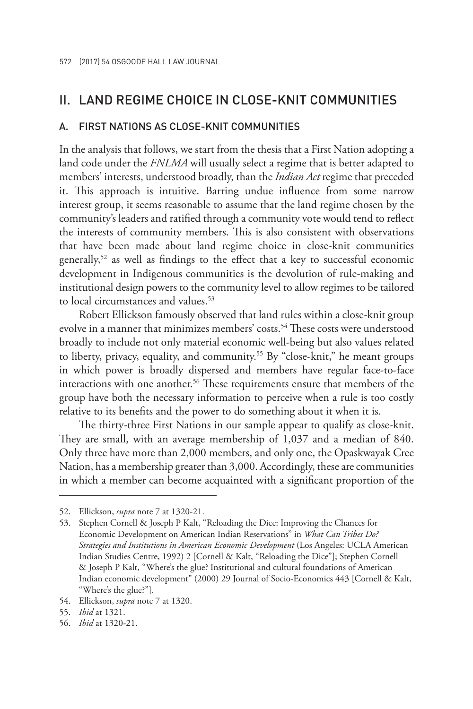# II. LAND REGIME CHOICE IN CLOSE-KNIT COMMUNITIES

## A. FIRST NATIONS AS CLOSE-KNIT COMMUNITIES

In the analysis that follows, we start from the thesis that a First Nation adopting a land code under the *FNLMA* will usually select a regime that is better adapted to members' interests, understood broadly, than the *Indian Act* regime that preceded it. This approach is intuitive. Barring undue influence from some narrow interest group, it seems reasonable to assume that the land regime chosen by the community's leaders and ratified through a community vote would tend to reflect the interests of community members. This is also consistent with observations that have been made about land regime choice in close-knit communities generally,52 as well as findings to the effect that a key to successful economic development in Indigenous communities is the devolution of rule-making and institutional design powers to the community level to allow regimes to be tailored to local circumstances and values.<sup>53</sup>

Robert Ellickson famously observed that land rules within a close-knit group evolve in a manner that minimizes members' costs.<sup>54</sup> These costs were understood broadly to include not only material economic well-being but also values related to liberty, privacy, equality, and community.<sup>55</sup> By "close-knit," he meant groups in which power is broadly dispersed and members have regular face-to-face interactions with one another.<sup>56</sup> These requirements ensure that members of the group have both the necessary information to perceive when a rule is too costly relative to its benefits and the power to do something about it when it is.

The thirty-three First Nations in our sample appear to qualify as close-knit. They are small, with an average membership of 1,037 and a median of 840. Only three have more than 2,000 members, and only one, the Opaskwayak Cree Nation, has a membership greater than 3,000. Accordingly, these are communities in which a member can become acquainted with a significant proportion of the

<sup>52.</sup> Ellickson, *supra* note 7 at 1320-21.

<sup>53.</sup> Stephen Cornell & Joseph P Kalt, "Reloading the Dice: Improving the Chances for Economic Development on American Indian Reservations" in *What Can Tribes Do? Strategies and Institutions in American Economic Development* (Los Angeles: UCLA American Indian Studies Centre, 1992) 2 [Cornell & Kalt, "Reloading the Dice"]; Stephen Cornell & Joseph P Kalt, "Where's the glue? Institutional and cultural foundations of American Indian economic development" (2000) 29 Journal of Socio-Economics 443 [Cornell & Kalt, "Where's the glue?"].

<sup>54.</sup> Ellickson, *supra* note 7 at 1320.

<sup>55.</sup> *Ibid* at 1321.

<sup>56.</sup> *Ibid* at 1320-21.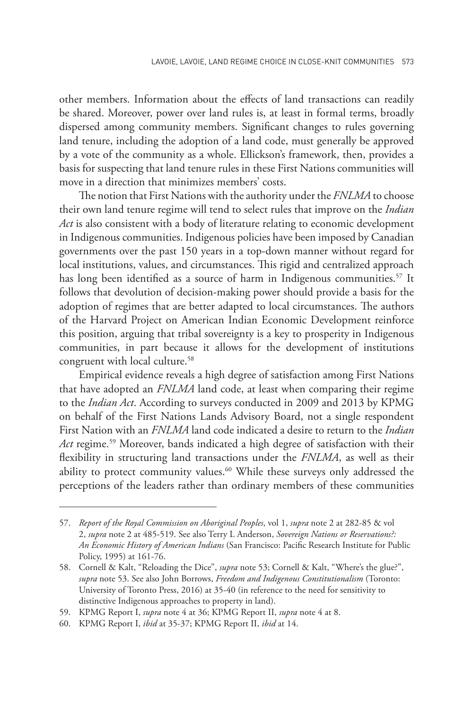other members. Information about the effects of land transactions can readily be shared. Moreover, power over land rules is, at least in formal terms, broadly dispersed among community members. Significant changes to rules governing land tenure, including the adoption of a land code, must generally be approved by a vote of the community as a whole. Ellickson's framework, then, provides a basis for suspecting that land tenure rules in these First Nations communities will move in a direction that minimizes members' costs.

The notion that First Nations with the authority under the *FNLMA* to choose their own land tenure regime will tend to select rules that improve on the *Indian Act* is also consistent with a body of literature relating to economic development in Indigenous communities. Indigenous policies have been imposed by Canadian governments over the past 150 years in a top-down manner without regard for local institutions, values, and circumstances. This rigid and centralized approach has long been identified as a source of harm in Indigenous communities.<sup>57</sup> It follows that devolution of decision-making power should provide a basis for the adoption of regimes that are better adapted to local circumstances. The authors of the Harvard Project on American Indian Economic Development reinforce this position, arguing that tribal sovereignty is a key to prosperity in Indigenous communities, in part because it allows for the development of institutions congruent with local culture.<sup>58</sup>

Empirical evidence reveals a high degree of satisfaction among First Nations that have adopted an *FNLMA* land code, at least when comparing their regime to the *Indian Act*. According to surveys conducted in 2009 and 2013 by KPMG on behalf of the First Nations Lands Advisory Board, not a single respondent First Nation with an *FNLMA* land code indicated a desire to return to the *Indian Act* regime.59 Moreover, bands indicated a high degree of satisfaction with their flexibility in structuring land transactions under the *FNLMA*, as well as their ability to protect community values.<sup>60</sup> While these surveys only addressed the perceptions of the leaders rather than ordinary members of these communities

<sup>57.</sup> *Report of the Royal Commission on Aboriginal Peoples*, vol 1, *supra* note 2 at 282-85 & vol 2, *supra* note 2 at 485-519. See also Terry L Anderson, *Sovereign Nations or Reservations?: An Economic History of American Indians* (San Francisco: Pacific Research Institute for Public Policy, 1995) at 161-76.

<sup>58.</sup> Cornell & Kalt, "Reloading the Dice", *supra* note 53; Cornell & Kalt, "Where's the glue?", *supra* note 53. See also John Borrows, *Freedom and Indigenous Constitutionalism* (Toronto: University of Toronto Press, 2016) at 35-40 (in reference to the need for sensitivity to distinctive Indigenous approaches to property in land).

<sup>59.</sup> KPMG Report I, *supra* note 4 at 36; KPMG Report II, *supra* note 4 at 8.

<sup>60.</sup> KPMG Report I, *ibid* at 35-37; KPMG Report II, *ibid* at 14.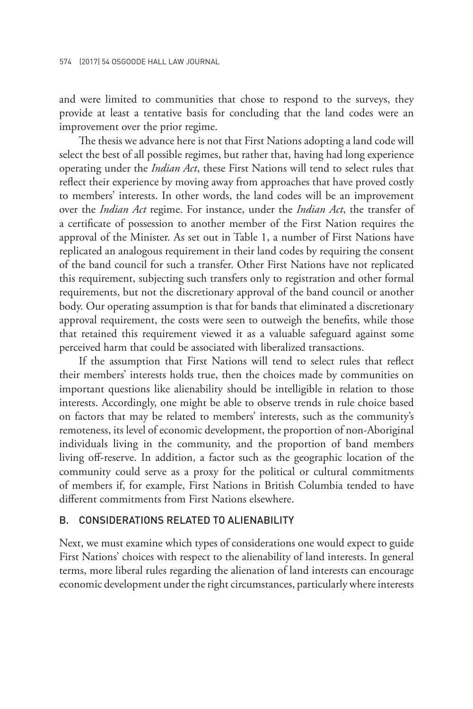and were limited to communities that chose to respond to the surveys, they provide at least a tentative basis for concluding that the land codes were an improvement over the prior regime.

The thesis we advance here is not that First Nations adopting a land code will select the best of all possible regimes, but rather that, having had long experience operating under the *Indian Act*, these First Nations will tend to select rules that reflect their experience by moving away from approaches that have proved costly to members' interests. In other words, the land codes will be an improvement over the *Indian Act* regime. For instance, under the *Indian Act*, the transfer of a certificate of possession to another member of the First Nation requires the approval of the Minister. As set out in Table 1, a number of First Nations have replicated an analogous requirement in their land codes by requiring the consent of the band council for such a transfer. Other First Nations have not replicated this requirement, subjecting such transfers only to registration and other formal requirements, but not the discretionary approval of the band council or another body. Our operating assumption is that for bands that eliminated a discretionary approval requirement, the costs were seen to outweigh the benefits, while those that retained this requirement viewed it as a valuable safeguard against some perceived harm that could be associated with liberalized transactions.

If the assumption that First Nations will tend to select rules that reflect their members' interests holds true, then the choices made by communities on important questions like alienability should be intelligible in relation to those interests. Accordingly, one might be able to observe trends in rule choice based on factors that may be related to members' interests, such as the community's remoteness, its level of economic development, the proportion of non-Aboriginal individuals living in the community, and the proportion of band members living off-reserve. In addition, a factor such as the geographic location of the community could serve as a proxy for the political or cultural commitments of members if, for example, First Nations in British Columbia tended to have different commitments from First Nations elsewhere.

## B. CONSIDERATIONS RELATED TO ALIENABILITY

Next, we must examine which types of considerations one would expect to guide First Nations' choices with respect to the alienability of land interests. In general terms, more liberal rules regarding the alienation of land interests can encourage economic development under the right circumstances, particularly where interests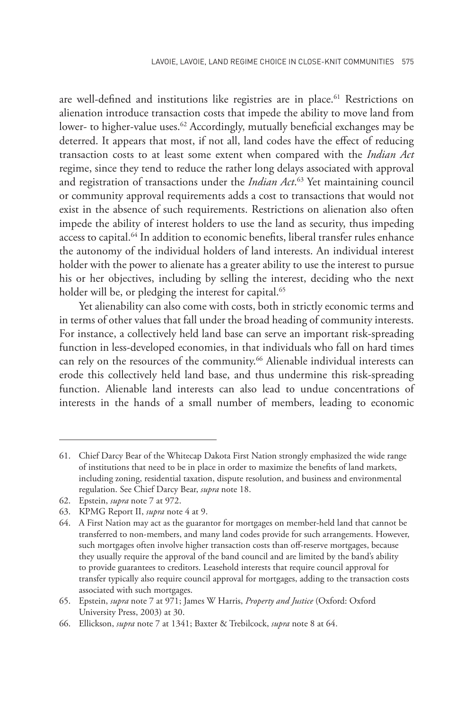are well-defined and institutions like registries are in place.<sup>61</sup> Restrictions on alienation introduce transaction costs that impede the ability to move land from lower- to higher-value uses.<sup>62</sup> Accordingly, mutually beneficial exchanges may be deterred. It appears that most, if not all, land codes have the effect of reducing transaction costs to at least some extent when compared with the *Indian Act*  regime, since they tend to reduce the rather long delays associated with approval and registration of transactions under the *Indian Act*. 63 Yet maintaining council or community approval requirements adds a cost to transactions that would not exist in the absence of such requirements. Restrictions on alienation also often impede the ability of interest holders to use the land as security, thus impeding access to capital.<sup>64</sup> In addition to economic benefits, liberal transfer rules enhance the autonomy of the individual holders of land interests. An individual interest holder with the power to alienate has a greater ability to use the interest to pursue his or her objectives, including by selling the interest, deciding who the next holder will be, or pledging the interest for capital.<sup>65</sup>

Yet alienability can also come with costs, both in strictly economic terms and in terms of other values that fall under the broad heading of community interests. For instance, a collectively held land base can serve an important risk-spreading function in less-developed economies, in that individuals who fall on hard times can rely on the resources of the community.<sup>66</sup> Alienable individual interests can erode this collectively held land base, and thus undermine this risk-spreading function. Alienable land interests can also lead to undue concentrations of interests in the hands of a small number of members, leading to economic

62. Epstein, *supra* note 7 at 972.

<sup>61.</sup> Chief Darcy Bear of the Whitecap Dakota First Nation strongly emphasized the wide range of institutions that need to be in place in order to maximize the benefits of land markets, including zoning, residential taxation, dispute resolution, and business and environmental regulation. See Chief Darcy Bear, *supra* note 18.

<sup>63.</sup> KPMG Report II, *supra* note 4 at 9.

<sup>64.</sup> A First Nation may act as the guarantor for mortgages on member-held land that cannot be transferred to non-members, and many land codes provide for such arrangements. However, such mortgages often involve higher transaction costs than off-reserve mortgages, because they usually require the approval of the band council and are limited by the band's ability to provide guarantees to creditors. Leasehold interests that require council approval for transfer typically also require council approval for mortgages, adding to the transaction costs associated with such mortgages.

<sup>65.</sup> Epstein, *supra* note 7 at 971; James W Harris, *Property and Justice* (Oxford: Oxford University Press, 2003) at 30.

<sup>66.</sup> Ellickson, *supra* note 7 at 1341; Baxter & Trebilcock, *supra* note 8 at 64.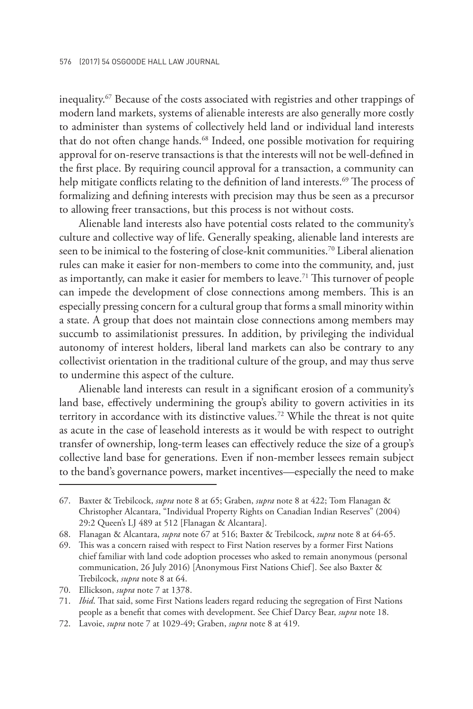inequality.67 Because of the costs associated with registries and other trappings of modern land markets, systems of alienable interests are also generally more costly to administer than systems of collectively held land or individual land interests that do not often change hands.<sup>68</sup> Indeed, one possible motivation for requiring approval for on-reserve transactions is that the interests will not be well-defined in the first place. By requiring council approval for a transaction, a community can help mitigate conflicts relating to the definition of land interests.<sup>69</sup> The process of formalizing and defining interests with precision may thus be seen as a precursor to allowing freer transactions, but this process is not without costs.

Alienable land interests also have potential costs related to the community's culture and collective way of life. Generally speaking, alienable land interests are seen to be inimical to the fostering of close-knit communities.<sup>70</sup> Liberal alienation rules can make it easier for non-members to come into the community, and, just as importantly, can make it easier for members to leave.<sup>71</sup> This turnover of people can impede the development of close connections among members. This is an especially pressing concern for a cultural group that forms a small minority within a state. A group that does not maintain close connections among members may succumb to assimilationist pressures. In addition, by privileging the individual autonomy of interest holders, liberal land markets can also be contrary to any collectivist orientation in the traditional culture of the group, and may thus serve to undermine this aspect of the culture.

Alienable land interests can result in a significant erosion of a community's land base, effectively undermining the group's ability to govern activities in its territory in accordance with its distinctive values.72 While the threat is not quite as acute in the case of leasehold interests as it would be with respect to outright transfer of ownership, long-term leases can effectively reduce the size of a group's collective land base for generations. Even if non-member lessees remain subject to the band's governance powers, market incentives—especially the need to make

<sup>67.</sup> Baxter & Trebilcock, *supra* note 8 at 65; Graben, *supra* note 8 at 422; Tom Flanagan & Christopher Alcantara, "Individual Property Rights on Canadian Indian Reserves" (2004) 29:2 Queen's LJ 489 at 512 [Flanagan & Alcantara].

<sup>68.</sup> Flanagan & Alcantara, *supra* note 67 at 516; Baxter & Trebilcock, *supra* note 8 at 64-65.

<sup>69.</sup> This was a concern raised with respect to First Nation reserves by a former First Nations chief familiar with land code adoption processes who asked to remain anonymous (personal communication, 26 July 2016) [Anonymous First Nations Chief]. See also Baxter & Trebilcock, *supra* note 8 at 64.

<sup>70.</sup> Ellickson, *supra* note 7 at 1378.

<sup>71.</sup> *Ibid*. That said, some First Nations leaders regard reducing the segregation of First Nations people as a benefit that comes with development. See Chief Darcy Bear, *supra* note 18.

<sup>72.</sup> Lavoie, *supra* note 7 at 1029-49; Graben, *supra* note 8 at 419.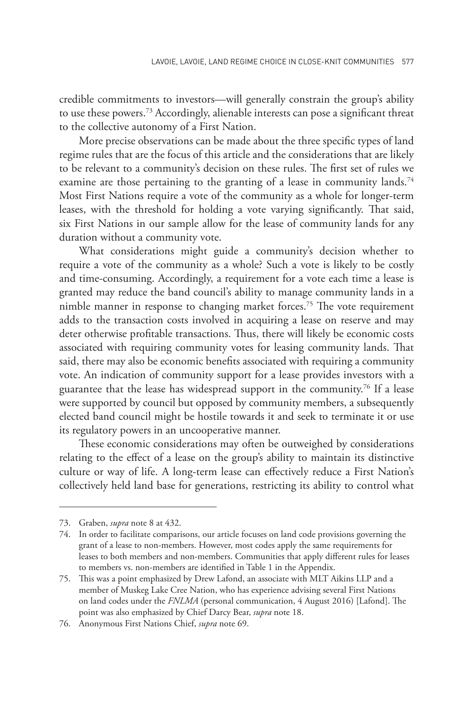credible commitments to investors—will generally constrain the group's ability to use these powers.73 Accordingly, alienable interests can pose a significant threat to the collective autonomy of a First Nation.

More precise observations can be made about the three specific types of land regime rules that are the focus of this article and the considerations that are likely to be relevant to a community's decision on these rules. The first set of rules we examine are those pertaining to the granting of a lease in community lands.<sup>74</sup> Most First Nations require a vote of the community as a whole for longer-term leases, with the threshold for holding a vote varying significantly. That said, six First Nations in our sample allow for the lease of community lands for any duration without a community vote.

What considerations might guide a community's decision whether to require a vote of the community as a whole? Such a vote is likely to be costly and time-consuming. Accordingly, a requirement for a vote each time a lease is granted may reduce the band council's ability to manage community lands in a nimble manner in response to changing market forces.<sup>75</sup> The vote requirement adds to the transaction costs involved in acquiring a lease on reserve and may deter otherwise profitable transactions. Thus, there will likely be economic costs associated with requiring community votes for leasing community lands. That said, there may also be economic benefits associated with requiring a community vote. An indication of community support for a lease provides investors with a guarantee that the lease has widespread support in the community.<sup>76</sup> If a lease were supported by council but opposed by community members, a subsequently elected band council might be hostile towards it and seek to terminate it or use its regulatory powers in an uncooperative manner.

These economic considerations may often be outweighed by considerations relating to the effect of a lease on the group's ability to maintain its distinctive culture or way of life. A long-term lease can effectively reduce a First Nation's collectively held land base for generations, restricting its ability to control what

<sup>73.</sup> Graben, *supra* note 8 at 432.

<sup>74.</sup> In order to facilitate comparisons, our article focuses on land code provisions governing the grant of a lease to non-members. However, most codes apply the same requirements for leases to both members and non-members. Communities that apply different rules for leases to members vs. non-members are identified in Table 1 in the Appendix.

<sup>75.</sup> This was a point emphasized by Drew Lafond, an associate with MLT Aikins LLP and a member of Muskeg Lake Cree Nation, who has experience advising several First Nations on land codes under the *FNLMA* (personal communication, 4 August 2016) [Lafond]. The point was also emphasized by Chief Darcy Bear, *supra* note 18.

<sup>76.</sup> Anonymous First Nations Chief, *supra* note 69.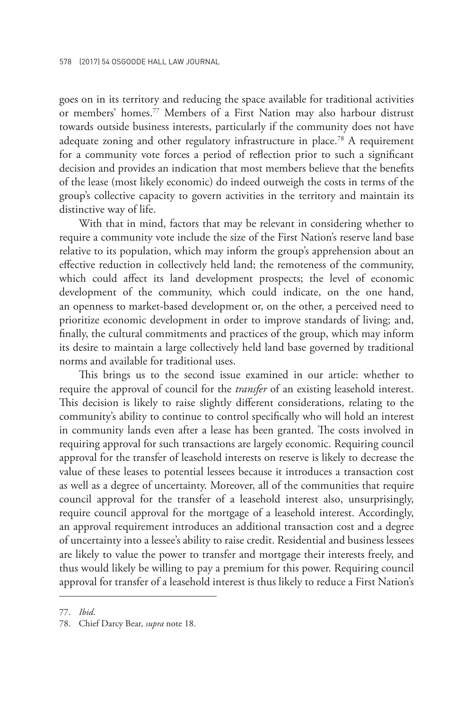goes on in its territory and reducing the space available for traditional activities or members' homes.77 Members of a First Nation may also harbour distrust towards outside business interests, particularly if the community does not have adequate zoning and other regulatory infrastructure in place.<sup>78</sup> A requirement for a community vote forces a period of reflection prior to such a significant decision and provides an indication that most members believe that the benefits of the lease (most likely economic) do indeed outweigh the costs in terms of the group's collective capacity to govern activities in the territory and maintain its distinctive way of life.

With that in mind, factors that may be relevant in considering whether to require a community vote include the size of the First Nation's reserve land base relative to its population, which may inform the group's apprehension about an effective reduction in collectively held land; the remoteness of the community, which could affect its land development prospects; the level of economic development of the community, which could indicate, on the one hand, an openness to market-based development or, on the other, a perceived need to prioritize economic development in order to improve standards of living; and, finally, the cultural commitments and practices of the group, which may inform its desire to maintain a large collectively held land base governed by traditional norms and available for traditional uses.

This brings us to the second issue examined in our article: whether to require the approval of council for the *transfer* of an existing leasehold interest. This decision is likely to raise slightly different considerations, relating to the community's ability to continue to control specifically who will hold an interest in community lands even after a lease has been granted. The costs involved in requiring approval for such transactions are largely economic. Requiring council approval for the transfer of leasehold interests on reserve is likely to decrease the value of these leases to potential lessees because it introduces a transaction cost as well as a degree of uncertainty. Moreover, all of the communities that require council approval for the transfer of a leasehold interest also, unsurprisingly, require council approval for the mortgage of a leasehold interest. Accordingly, an approval requirement introduces an additional transaction cost and a degree of uncertainty into a lessee's ability to raise credit. Residential and business lessees are likely to value the power to transfer and mortgage their interests freely, and thus would likely be willing to pay a premium for this power. Requiring council approval for transfer of a leasehold interest is thus likely to reduce a First Nation's

<sup>77.</sup> *Ibid*.

<sup>78.</sup> Chief Darcy Bear, *supra* note 18.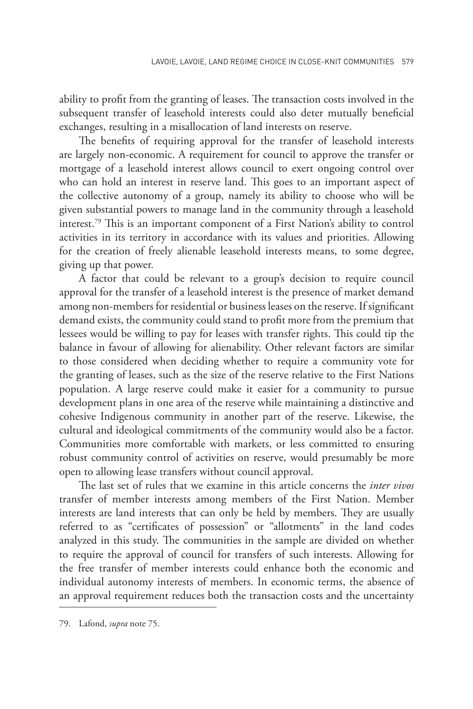ability to profit from the granting of leases. The transaction costs involved in the subsequent transfer of leasehold interests could also deter mutually beneficial exchanges, resulting in a misallocation of land interests on reserve.

The benefits of requiring approval for the transfer of leasehold interests are largely non-economic. A requirement for council to approve the transfer or mortgage of a leasehold interest allows council to exert ongoing control over who can hold an interest in reserve land. This goes to an important aspect of the collective autonomy of a group, namely its ability to choose who will be given substantial powers to manage land in the community through a leasehold interest.79 This is an important component of a First Nation's ability to control activities in its territory in accordance with its values and priorities. Allowing for the creation of freely alienable leasehold interests means, to some degree, giving up that power.

A factor that could be relevant to a group's decision to require council approval for the transfer of a leasehold interest is the presence of market demand among non-members for residential or business leases on the reserve. If significant demand exists, the community could stand to profit more from the premium that lessees would be willing to pay for leases with transfer rights. This could tip the balance in favour of allowing for alienability. Other relevant factors are similar to those considered when deciding whether to require a community vote for the granting of leases, such as the size of the reserve relative to the First Nations population. A large reserve could make it easier for a community to pursue development plans in one area of the reserve while maintaining a distinctive and cohesive Indigenous community in another part of the reserve. Likewise, the cultural and ideological commitments of the community would also be a factor. Communities more comfortable with markets, or less committed to ensuring robust community control of activities on reserve, would presumably be more open to allowing lease transfers without council approval.

The last set of rules that we examine in this article concerns the *inter vivos* transfer of member interests among members of the First Nation. Member interests are land interests that can only be held by members. They are usually referred to as "certificates of possession" or "allotments" in the land codes analyzed in this study. The communities in the sample are divided on whether to require the approval of council for transfers of such interests. Allowing for the free transfer of member interests could enhance both the economic and individual autonomy interests of members. In economic terms, the absence of an approval requirement reduces both the transaction costs and the uncertainty

<sup>79.</sup> Lafond, *supra* note 75.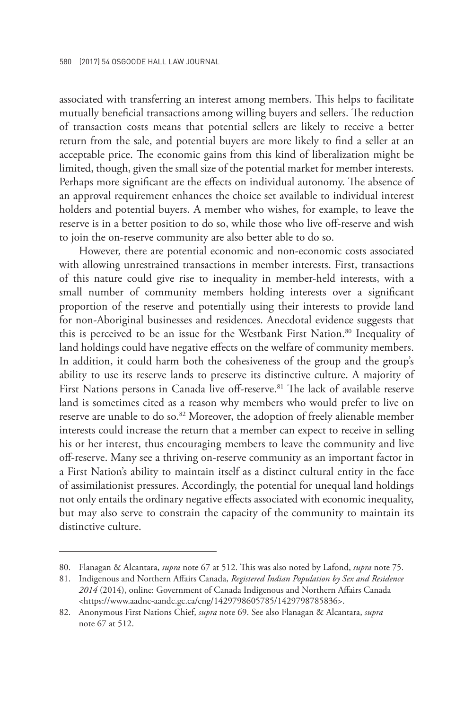associated with transferring an interest among members. This helps to facilitate mutually beneficial transactions among willing buyers and sellers. The reduction of transaction costs means that potential sellers are likely to receive a better return from the sale, and potential buyers are more likely to find a seller at an acceptable price. The economic gains from this kind of liberalization might be limited, though, given the small size of the potential market for member interests. Perhaps more significant are the effects on individual autonomy. The absence of an approval requirement enhances the choice set available to individual interest holders and potential buyers. A member who wishes, for example, to leave the reserve is in a better position to do so, while those who live off-reserve and wish to join the on-reserve community are also better able to do so.

However, there are potential economic and non-economic costs associated with allowing unrestrained transactions in member interests. First, transactions of this nature could give rise to inequality in member-held interests, with a small number of community members holding interests over a significant proportion of the reserve and potentially using their interests to provide land for non-Aboriginal businesses and residences. Anecdotal evidence suggests that this is perceived to be an issue for the Westbank First Nation.<sup>80</sup> Inequality of land holdings could have negative effects on the welfare of community members. In addition, it could harm both the cohesiveness of the group and the group's ability to use its reserve lands to preserve its distinctive culture. A majority of First Nations persons in Canada live off-reserve.<sup>81</sup> The lack of available reserve land is sometimes cited as a reason why members who would prefer to live on reserve are unable to do so.<sup>82</sup> Moreover, the adoption of freely alienable member interests could increase the return that a member can expect to receive in selling his or her interest, thus encouraging members to leave the community and live off-reserve. Many see a thriving on-reserve community as an important factor in a First Nation's ability to maintain itself as a distinct cultural entity in the face of assimilationist pressures. Accordingly, the potential for unequal land holdings not only entails the ordinary negative effects associated with economic inequality, but may also serve to constrain the capacity of the community to maintain its distinctive culture.

<sup>80.</sup> Flanagan & Alcantara, *supra* note 67 at 512. This was also noted by Lafond, *supra* note 75.

<sup>81.</sup> Indigenous and Northern Affairs Canada, *Registered Indian Population by Sex and Residence 2014* (2014), online: Government of Canada Indigenous and Northern Affairs Canada <https://www.aadnc-aandc.gc.ca/eng/1429798605785/1429798785836>.

<sup>82.</sup> Anonymous First Nations Chief, *supra* note 69. See also Flanagan & Alcantara, *supra* note 67 at 512.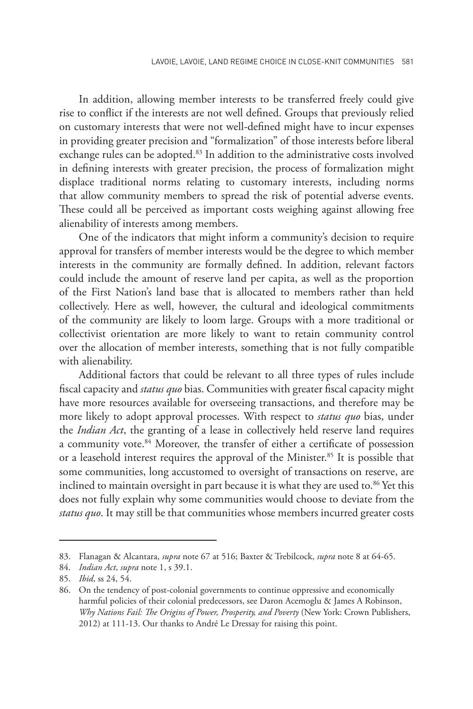In addition, allowing member interests to be transferred freely could give rise to conflict if the interests are not well defined. Groups that previously relied on customary interests that were not well-defined might have to incur expenses in providing greater precision and "formalization" of those interests before liberal exchange rules can be adopted.<sup>83</sup> In addition to the administrative costs involved in defining interests with greater precision, the process of formalization might displace traditional norms relating to customary interests, including norms that allow community members to spread the risk of potential adverse events. These could all be perceived as important costs weighing against allowing free alienability of interests among members.

One of the indicators that might inform a community's decision to require approval for transfers of member interests would be the degree to which member interests in the community are formally defined. In addition, relevant factors could include the amount of reserve land per capita, as well as the proportion of the First Nation's land base that is allocated to members rather than held collectively. Here as well, however, the cultural and ideological commitments of the community are likely to loom large. Groups with a more traditional or collectivist orientation are more likely to want to retain community control over the allocation of member interests, something that is not fully compatible with alienability.

Additional factors that could be relevant to all three types of rules include fiscal capacity and *status quo* bias. Communities with greater fiscal capacity might have more resources available for overseeing transactions, and therefore may be more likely to adopt approval processes. With respect to *status quo* bias, under the *Indian Act*, the granting of a lease in collectively held reserve land requires a community vote.<sup>84</sup> Moreover, the transfer of either a certificate of possession or a leasehold interest requires the approval of the Minister.<sup>85</sup> It is possible that some communities, long accustomed to oversight of transactions on reserve, are inclined to maintain oversight in part because it is what they are used to.<sup>86</sup> Yet this does not fully explain why some communities would choose to deviate from the *status quo*. It may still be that communities whose members incurred greater costs

<sup>83.</sup> Flanagan & Alcantara, *supra* note 67 at 516; Baxter & Trebilcock, *supra* note 8 at 64-65.

<sup>84.</sup> *Indian Act*, *supra* note 1, s 39.1.

<sup>85.</sup> *Ibid*, ss 24, 54.

<sup>86.</sup> On the tendency of post-colonial governments to continue oppressive and economically harmful policies of their colonial predecessors, see Daron Acemoglu & James A Robinson, *Why Nations Fail: The Origins of Power, Prosperity, and Poverty* (New York: Crown Publishers, 2012) at 111-13. Our thanks to André Le Dressay for raising this point.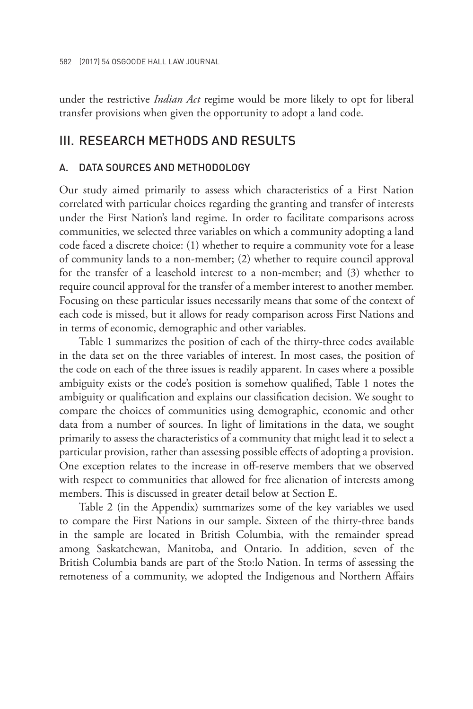under the restrictive *Indian Act* regime would be more likely to opt for liberal transfer provisions when given the opportunity to adopt a land code.

## III. RESEARCH METHODS AND RESULTS

### DATA SOURCES AND METHODOLOGY

Our study aimed primarily to assess which characteristics of a First Nation correlated with particular choices regarding the granting and transfer of interests under the First Nation's land regime. In order to facilitate comparisons across communities, we selected three variables on which a community adopting a land code faced a discrete choice: (1) whether to require a community vote for a lease of community lands to a non-member; (2) whether to require council approval for the transfer of a leasehold interest to a non-member; and (3) whether to require council approval for the transfer of a member interest to another member. Focusing on these particular issues necessarily means that some of the context of each code is missed, but it allows for ready comparison across First Nations and in terms of economic, demographic and other variables.

Table 1 summarizes the position of each of the thirty-three codes available in the data set on the three variables of interest. In most cases, the position of the code on each of the three issues is readily apparent. In cases where a possible ambiguity exists or the code's position is somehow qualified, Table 1 notes the ambiguity or qualification and explains our classification decision. We sought to compare the choices of communities using demographic, economic and other data from a number of sources. In light of limitations in the data, we sought primarily to assess the characteristics of a community that might lead it to select a particular provision, rather than assessing possible effects of adopting a provision. One exception relates to the increase in off-reserve members that we observed with respect to communities that allowed for free alienation of interests among members. This is discussed in greater detail below at Section E.

Table 2 (in the Appendix) summarizes some of the key variables we used to compare the First Nations in our sample. Sixteen of the thirty-three bands in the sample are located in British Columbia, with the remainder spread among Saskatchewan, Manitoba, and Ontario. In addition, seven of the British Columbia bands are part of the Sto:lo Nation. In terms of assessing the remoteness of a community, we adopted the Indigenous and Northern Affairs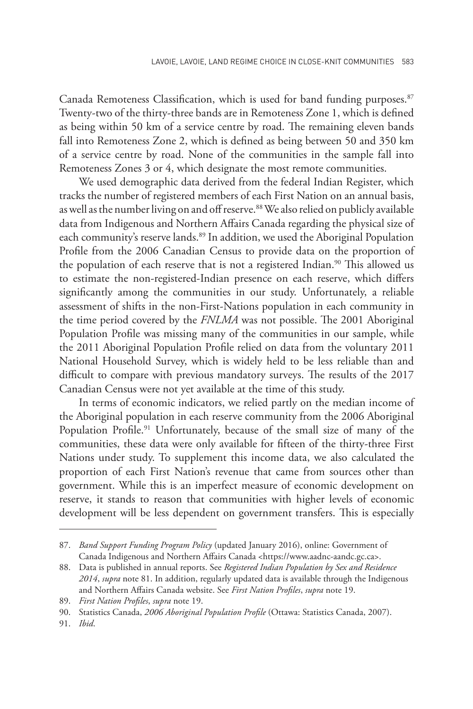Canada Remoteness Classification, which is used for band funding purposes.<sup>87</sup> Twenty-two of the thirty-three bands are in Remoteness Zone 1, which is defined as being within 50 km of a service centre by road. The remaining eleven bands fall into Remoteness Zone 2, which is defined as being between 50 and 350 km of a service centre by road. None of the communities in the sample fall into Remoteness Zones 3 or 4, which designate the most remote communities.

We used demographic data derived from the federal Indian Register, which tracks the number of registered members of each First Nation on an annual basis, as well as the number living on and off reserve.<sup>88</sup> We also relied on publicly available data from Indigenous and Northern Affairs Canada regarding the physical size of each community's reserve lands.<sup>89</sup> In addition, we used the Aboriginal Population Profile from the 2006 Canadian Census to provide data on the proportion of the population of each reserve that is not a registered Indian.<sup>90</sup> This allowed us to estimate the non-registered-Indian presence on each reserve, which differs significantly among the communities in our study. Unfortunately, a reliable assessment of shifts in the non-First-Nations population in each community in the time period covered by the *FNLMA* was not possible. The 2001 Aboriginal Population Profile was missing many of the communities in our sample, while the 2011 Aboriginal Population Profile relied on data from the voluntary 2011 National Household Survey, which is widely held to be less reliable than and difficult to compare with previous mandatory surveys. The results of the 2017 Canadian Census were not yet available at the time of this study.

In terms of economic indicators, we relied partly on the median income of the Aboriginal population in each reserve community from the 2006 Aboriginal Population Profile.<sup>91</sup> Unfortunately, because of the small size of many of the communities, these data were only available for fifteen of the thirty-three First Nations under study. To supplement this income data, we also calculated the proportion of each First Nation's revenue that came from sources other than government. While this is an imperfect measure of economic development on reserve, it stands to reason that communities with higher levels of economic development will be less dependent on government transfers. This is especially

<sup>87.</sup> *Band Support Funding Program Policy* (updated January 2016), online: Government of Canada Indigenous and Northern Affairs Canada <https://www.aadnc-aandc.gc.ca>.

<sup>88.</sup> Data is published in annual reports. See *Registered Indian Population by Sex and Residence 2014*, *supra* note 81. In addition, regularly updated data is available through the Indigenous and Northern Affairs Canada website. See *First Nation Profiles*, *supra* note 19.

<sup>89.</sup> *First Nation Profiles*, *supra* note 19.

<sup>90.</sup> Statistics Canada, *2006 Aboriginal Population Profile* (Ottawa: Statistics Canada, 2007).

<sup>91.</sup> *Ibid*.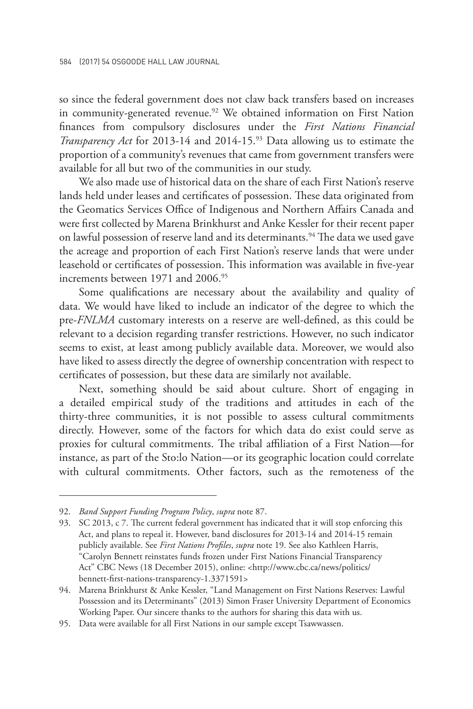so since the federal government does not claw back transfers based on increases in community-generated revenue.<sup>92</sup> We obtained information on First Nation finances from compulsory disclosures under the *First Nations Financial Transparency Act* for 2013-14 and 2014-15.<sup>93</sup> Data allowing us to estimate the proportion of a community's revenues that came from government transfers were available for all but two of the communities in our study.

We also made use of historical data on the share of each First Nation's reserve lands held under leases and certificates of possession. These data originated from the Geomatics Services Office of Indigenous and Northern Affairs Canada and were first collected by Marena Brinkhurst and Anke Kessler for their recent paper on lawful possession of reserve land and its determinants.<sup>94</sup> The data we used gave the acreage and proportion of each First Nation's reserve lands that were under leasehold or certificates of possession. This information was available in five-year increments between 1971 and 2006.<sup>95</sup>

Some qualifications are necessary about the availability and quality of data. We would have liked to include an indicator of the degree to which the pre-*FNLMA* customary interests on a reserve are well-defined, as this could be relevant to a decision regarding transfer restrictions. However, no such indicator seems to exist, at least among publicly available data. Moreover, we would also have liked to assess directly the degree of ownership concentration with respect to certificates of possession, but these data are similarly not available.

Next, something should be said about culture. Short of engaging in a detailed empirical study of the traditions and attitudes in each of the thirty-three communities, it is not possible to assess cultural commitments directly. However, some of the factors for which data do exist could serve as proxies for cultural commitments. The tribal affiliation of a First Nation—for instance, as part of the Sto:lo Nation—or its geographic location could correlate with cultural commitments. Other factors, such as the remoteness of the

<sup>92.</sup> *Band Support Funding Program Policy*, *supra* note 87.

<sup>93.</sup> SC 2013, c 7. The current federal government has indicated that it will stop enforcing this Act, and plans to repeal it. However, band disclosures for 2013-14 and 2014-15 remain publicly available. See *First Nations Profiles*, *supra* note 19. See also Kathleen Harris, "Carolyn Bennett reinstates funds frozen under First Nations Financial Transparency Act" CBC News (18 December 2015), online: <http://www.cbc.ca/news/politics/ bennett-first-nations-transparency-1.3371591>

<sup>94.</sup> Marena Brinkhurst & Anke Kessler, "Land Management on First Nations Reserves: Lawful Possession and its Determinants" (2013) Simon Fraser University Department of Economics Working Paper. Our sincere thanks to the authors for sharing this data with us.

<sup>95.</sup> Data were available for all First Nations in our sample except Tsawwassen.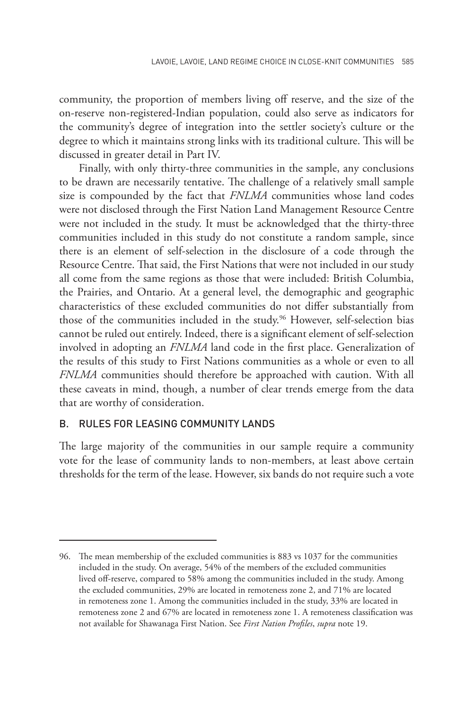community, the proportion of members living off reserve, and the size of the on-reserve non-registered-Indian population, could also serve as indicators for the community's degree of integration into the settler society's culture or the degree to which it maintains strong links with its traditional culture. This will be discussed in greater detail in Part IV.

Finally, with only thirty-three communities in the sample, any conclusions to be drawn are necessarily tentative. The challenge of a relatively small sample size is compounded by the fact that *FNLMA* communities whose land codes were not disclosed through the First Nation Land Management Resource Centre were not included in the study. It must be acknowledged that the thirty-three communities included in this study do not constitute a random sample, since there is an element of self-selection in the disclosure of a code through the Resource Centre. That said, the First Nations that were not included in our study all come from the same regions as those that were included: British Columbia, the Prairies, and Ontario. At a general level, the demographic and geographic characteristics of these excluded communities do not differ substantially from those of the communities included in the study.<sup>96</sup> However, self-selection bias cannot be ruled out entirely. Indeed, there is a significant element of self-selection involved in adopting an *FNLMA* land code in the first place. Generalization of the results of this study to First Nations communities as a whole or even to all *FNLMA* communities should therefore be approached with caution. With all these caveats in mind, though, a number of clear trends emerge from the data that are worthy of consideration.

## B. RULES FOR LEASING COMMUNITY LANDS

The large majority of the communities in our sample require a community vote for the lease of community lands to non-members, at least above certain thresholds for the term of the lease. However, six bands do not require such a vote

<sup>96.</sup> The mean membership of the excluded communities is 883 vs 1037 for the communities included in the study. On average, 54% of the members of the excluded communities lived off-reserve, compared to 58% among the communities included in the study. Among the excluded communities, 29% are located in remoteness zone 2, and 71% are located in remoteness zone 1. Among the communities included in the study, 33% are located in remoteness zone 2 and 67% are located in remoteness zone 1. A remoteness classification was not available for Shawanaga First Nation. See *First Nation Profiles*, *supra* note 19.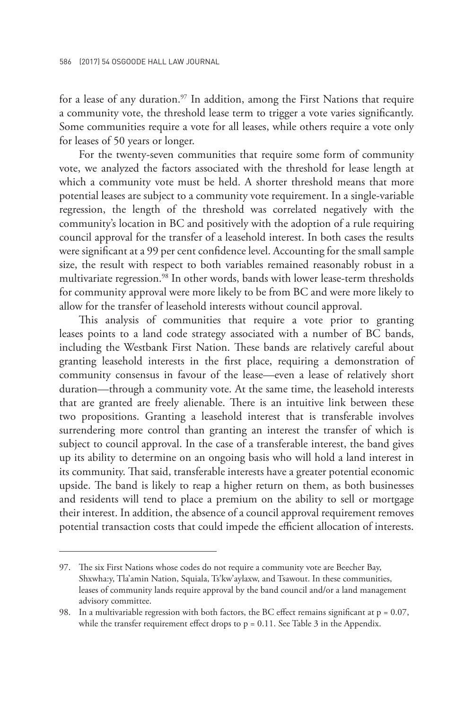for a lease of any duration.<sup>97</sup> In addition, among the First Nations that require a community vote, the threshold lease term to trigger a vote varies significantly. Some communities require a vote for all leases, while others require a vote only for leases of 50 years or longer.

For the twenty-seven communities that require some form of community vote, we analyzed the factors associated with the threshold for lease length at which a community vote must be held. A shorter threshold means that more potential leases are subject to a community vote requirement. In a single-variable regression, the length of the threshold was correlated negatively with the community's location in BC and positively with the adoption of a rule requiring council approval for the transfer of a leasehold interest. In both cases the results were significant at a 99 per cent confidence level. Accounting for the small sample size, the result with respect to both variables remained reasonably robust in a multivariate regression.<sup>98</sup> In other words, bands with lower lease-term thresholds for community approval were more likely to be from BC and were more likely to allow for the transfer of leasehold interests without council approval.

This analysis of communities that require a vote prior to granting leases points to a land code strategy associated with a number of BC bands, including the Westbank First Nation. These bands are relatively careful about granting leasehold interests in the first place, requiring a demonstration of community consensus in favour of the lease—even a lease of relatively short duration—through a community vote. At the same time, the leasehold interests that are granted are freely alienable. There is an intuitive link between these two propositions. Granting a leasehold interest that is transferable involves surrendering more control than granting an interest the transfer of which is subject to council approval. In the case of a transferable interest, the band gives up its ability to determine on an ongoing basis who will hold a land interest in its community. That said, transferable interests have a greater potential economic upside. The band is likely to reap a higher return on them, as both businesses and residents will tend to place a premium on the ability to sell or mortgage their interest. In addition, the absence of a council approval requirement removes potential transaction costs that could impede the efficient allocation of interests.

<sup>97.</sup> The six First Nations whose codes do not require a community vote are Beecher Bay, Shxwha:y, Tla'amin Nation, Squiala, Ts'kw'aylaxw, and Tsawout. In these communities, leases of community lands require approval by the band council and/or a land management advisory committee.

<sup>98.</sup> In a multivariable regression with both factors, the BC effect remains significant at  $p = 0.07$ , while the transfer requirement effect drops to  $p = 0.11$ . See Table 3 in the Appendix.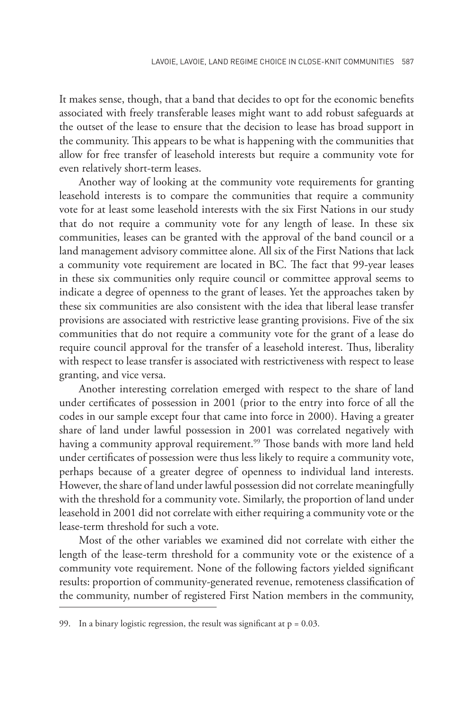It makes sense, though, that a band that decides to opt for the economic benefits associated with freely transferable leases might want to add robust safeguards at the outset of the lease to ensure that the decision to lease has broad support in the community. This appears to be what is happening with the communities that allow for free transfer of leasehold interests but require a community vote for even relatively short-term leases.

Another way of looking at the community vote requirements for granting leasehold interests is to compare the communities that require a community vote for at least some leasehold interests with the six First Nations in our study that do not require a community vote for any length of lease. In these six communities, leases can be granted with the approval of the band council or a land management advisory committee alone. All six of the First Nations that lack a community vote requirement are located in BC. The fact that 99-year leases in these six communities only require council or committee approval seems to indicate a degree of openness to the grant of leases. Yet the approaches taken by these six communities are also consistent with the idea that liberal lease transfer provisions are associated with restrictive lease granting provisions. Five of the six communities that do not require a community vote for the grant of a lease do require council approval for the transfer of a leasehold interest. Thus, liberality with respect to lease transfer is associated with restrictiveness with respect to lease granting, and vice versa.

Another interesting correlation emerged with respect to the share of land under certificates of possession in 2001 (prior to the entry into force of all the codes in our sample except four that came into force in 2000). Having a greater share of land under lawful possession in 2001 was correlated negatively with having a community approval requirement.<sup>99</sup> Those bands with more land held under certificates of possession were thus less likely to require a community vote, perhaps because of a greater degree of openness to individual land interests. However, the share of land under lawful possession did not correlate meaningfully with the threshold for a community vote. Similarly, the proportion of land under leasehold in 2001 did not correlate with either requiring a community vote or the lease-term threshold for such a vote.

Most of the other variables we examined did not correlate with either the length of the lease-term threshold for a community vote or the existence of a community vote requirement. None of the following factors yielded significant results: proportion of community-generated revenue, remoteness classification of the community, number of registered First Nation members in the community,

<sup>99.</sup> In a binary logistic regression, the result was significant at  $p = 0.03$ .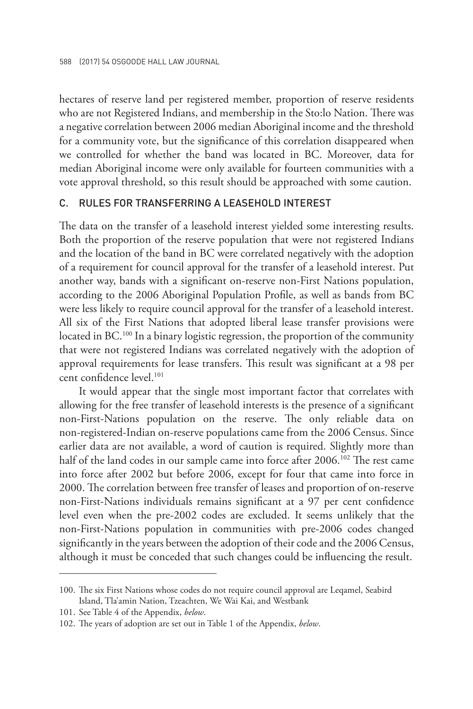hectares of reserve land per registered member, proportion of reserve residents who are not Registered Indians, and membership in the Sto:lo Nation. There was a negative correlation between 2006 median Aboriginal income and the threshold for a community vote, but the significance of this correlation disappeared when we controlled for whether the band was located in BC. Moreover, data for median Aboriginal income were only available for fourteen communities with a vote approval threshold, so this result should be approached with some caution.

## C. RULES FOR TRANSFERRING A LEASEHOLD INTEREST

The data on the transfer of a leasehold interest yielded some interesting results. Both the proportion of the reserve population that were not registered Indians and the location of the band in BC were correlated negatively with the adoption of a requirement for council approval for the transfer of a leasehold interest. Put another way, bands with a significant on-reserve non-First Nations population, according to the 2006 Aboriginal Population Profile, as well as bands from BC were less likely to require council approval for the transfer of a leasehold interest. All six of the First Nations that adopted liberal lease transfer provisions were located in BC.<sup>100</sup> In a binary logistic regression, the proportion of the community that were not registered Indians was correlated negatively with the adoption of approval requirements for lease transfers. This result was significant at a 98 per cent confidence level.<sup>101</sup>

It would appear that the single most important factor that correlates with allowing for the free transfer of leasehold interests is the presence of a significant non-First-Nations population on the reserve. The only reliable data on non-registered-Indian on-reserve populations came from the 2006 Census. Since earlier data are not available, a word of caution is required. Slightly more than half of the land codes in our sample came into force after 2006.<sup>102</sup> The rest came into force after 2002 but before 2006, except for four that came into force in 2000. The correlation between free transfer of leases and proportion of on-reserve non-First-Nations individuals remains significant at a 97 per cent confidence level even when the pre-2002 codes are excluded. It seems unlikely that the non-First-Nations population in communities with pre-2006 codes changed significantly in the years between the adoption of their code and the 2006 Census, although it must be conceded that such changes could be influencing the result.

<sup>100.</sup> The six First Nations whose codes do not require council approval are Leqamel, Seabird Island, Tla'amin Nation, Tzeachten, We Wai Kai, and Westbank

<sup>101.</sup> See Table 4 of the Appendix, *below*.

<sup>102.</sup> The years of adoption are set out in Table 1 of the Appendix, *below*.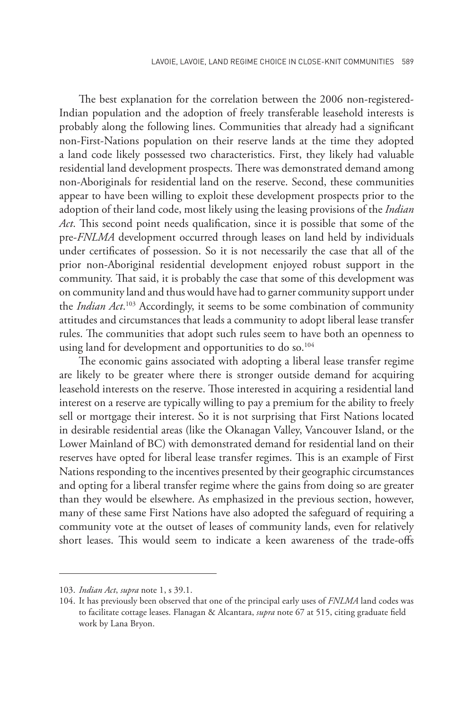The best explanation for the correlation between the 2006 non-registered-Indian population and the adoption of freely transferable leasehold interests is probably along the following lines. Communities that already had a significant non-First-Nations population on their reserve lands at the time they adopted a land code likely possessed two characteristics. First, they likely had valuable residential land development prospects. There was demonstrated demand among non-Aboriginals for residential land on the reserve. Second, these communities appear to have been willing to exploit these development prospects prior to the adoption of their land code, most likely using the leasing provisions of the *Indian Act*. This second point needs qualification, since it is possible that some of the pre-*FNLMA* development occurred through leases on land held by individuals under certificates of possession. So it is not necessarily the case that all of the prior non-Aboriginal residential development enjoyed robust support in the community. That said, it is probably the case that some of this development was on community land and thus would have had to garner community support under the *Indian Act*. 103 Accordingly, it seems to be some combination of community attitudes and circumstances that leads a community to adopt liberal lease transfer rules. The communities that adopt such rules seem to have both an openness to using land for development and opportunities to do so.<sup>104</sup>

The economic gains associated with adopting a liberal lease transfer regime are likely to be greater where there is stronger outside demand for acquiring leasehold interests on the reserve. Those interested in acquiring a residential land interest on a reserve are typically willing to pay a premium for the ability to freely sell or mortgage their interest. So it is not surprising that First Nations located in desirable residential areas (like the Okanagan Valley, Vancouver Island, or the Lower Mainland of BC) with demonstrated demand for residential land on their reserves have opted for liberal lease transfer regimes. This is an example of First Nations responding to the incentives presented by their geographic circumstances and opting for a liberal transfer regime where the gains from doing so are greater than they would be elsewhere. As emphasized in the previous section, however, many of these same First Nations have also adopted the safeguard of requiring a community vote at the outset of leases of community lands, even for relatively short leases. This would seem to indicate a keen awareness of the trade-offs

<sup>103.</sup> *Indian Act*, *supra* note 1, s 39.1.

<sup>104.</sup> It has previously been observed that one of the principal early uses of *FNLMA* land codes was to facilitate cottage leases. Flanagan & Alcantara, *supra* note 67 at 515, citing graduate field work by Lana Bryon.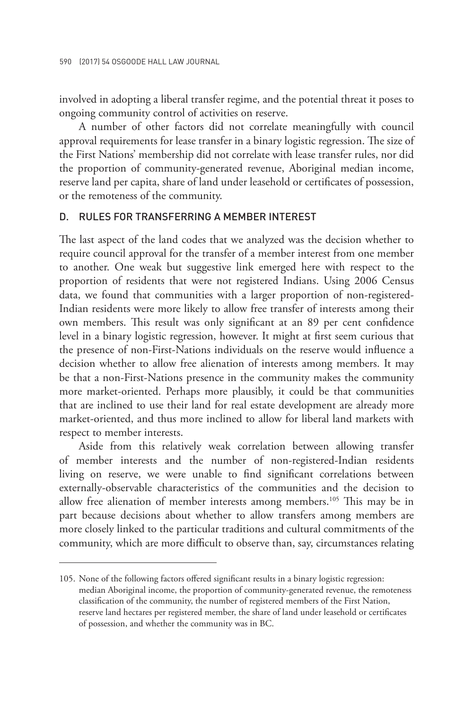involved in adopting a liberal transfer regime, and the potential threat it poses to ongoing community control of activities on reserve.

A number of other factors did not correlate meaningfully with council approval requirements for lease transfer in a binary logistic regression. The size of the First Nations' membership did not correlate with lease transfer rules, nor did the proportion of community-generated revenue, Aboriginal median income, reserve land per capita, share of land under leasehold or certificates of possession, or the remoteness of the community.

#### D. RULES FOR TRANSFERRING A MEMBER INTEREST

The last aspect of the land codes that we analyzed was the decision whether to require council approval for the transfer of a member interest from one member to another. One weak but suggestive link emerged here with respect to the proportion of residents that were not registered Indians. Using 2006 Census data, we found that communities with a larger proportion of non-registered-Indian residents were more likely to allow free transfer of interests among their own members. This result was only significant at an 89 per cent confidence level in a binary logistic regression, however. It might at first seem curious that the presence of non-First-Nations individuals on the reserve would influence a decision whether to allow free alienation of interests among members. It may be that a non-First-Nations presence in the community makes the community more market-oriented. Perhaps more plausibly, it could be that communities that are inclined to use their land for real estate development are already more market-oriented, and thus more inclined to allow for liberal land markets with respect to member interests.

Aside from this relatively weak correlation between allowing transfer of member interests and the number of non-registered-Indian residents living on reserve, we were unable to find significant correlations between externally-observable characteristics of the communities and the decision to allow free alienation of member interests among members.105 This may be in part because decisions about whether to allow transfers among members are more closely linked to the particular traditions and cultural commitments of the community, which are more difficult to observe than, say, circumstances relating

<sup>105.</sup> None of the following factors offered significant results in a binary logistic regression: median Aboriginal income, the proportion of community-generated revenue, the remoteness classification of the community, the number of registered members of the First Nation, reserve land hectares per registered member, the share of land under leasehold or certificates of possession, and whether the community was in BC.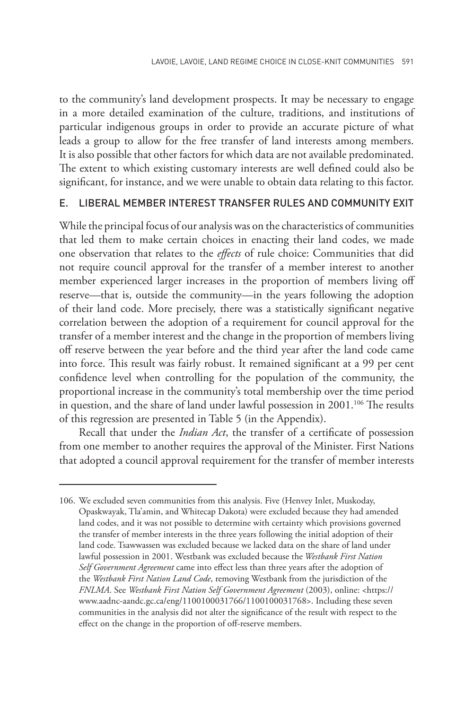to the community's land development prospects. It may be necessary to engage in a more detailed examination of the culture, traditions, and institutions of particular indigenous groups in order to provide an accurate picture of what leads a group to allow for the free transfer of land interests among members. It is also possible that other factors for which data are not available predominated. The extent to which existing customary interests are well defined could also be significant, for instance, and we were unable to obtain data relating to this factor.

## E. LIBERAL MEMBER INTEREST TRANSFER RULES AND COMMUNITY EXIT

While the principal focus of our analysis was on the characteristics of communities that led them to make certain choices in enacting their land codes, we made one observation that relates to the *effects* of rule choice: Communities that did not require council approval for the transfer of a member interest to another member experienced larger increases in the proportion of members living off reserve—that is, outside the community—in the years following the adoption of their land code. More precisely, there was a statistically significant negative correlation between the adoption of a requirement for council approval for the transfer of a member interest and the change in the proportion of members living off reserve between the year before and the third year after the land code came into force. This result was fairly robust. It remained significant at a 99 per cent confidence level when controlling for the population of the community, the proportional increase in the community's total membership over the time period in question, and the share of land under lawful possession in 2001.<sup>106</sup> The results of this regression are presented in Table 5 (in the Appendix).

Recall that under the *Indian Act*, the transfer of a certificate of possession from one member to another requires the approval of the Minister. First Nations that adopted a council approval requirement for the transfer of member interests

<sup>106.</sup> We excluded seven communities from this analysis. Five (Henvey Inlet, Muskoday, Opaskwayak, Tla'amin, and Whitecap Dakota) were excluded because they had amended land codes, and it was not possible to determine with certainty which provisions governed the transfer of member interests in the three years following the initial adoption of their land code. Tsawwassen was excluded because we lacked data on the share of land under lawful possession in 2001. Westbank was excluded because the *Westbank First Nation Self Government Agreement* came into effect less than three years after the adoption of the *Westbank First Nation Land Code*, removing Westbank from the jurisdiction of the *FNLMA*. See *Westbank First Nation Self Government Agreement* (2003), online: <https:// www.aadnc-aandc.gc.ca/eng/1100100031766/1100100031768>. Including these seven communities in the analysis did not alter the significance of the result with respect to the effect on the change in the proportion of off-reserve members.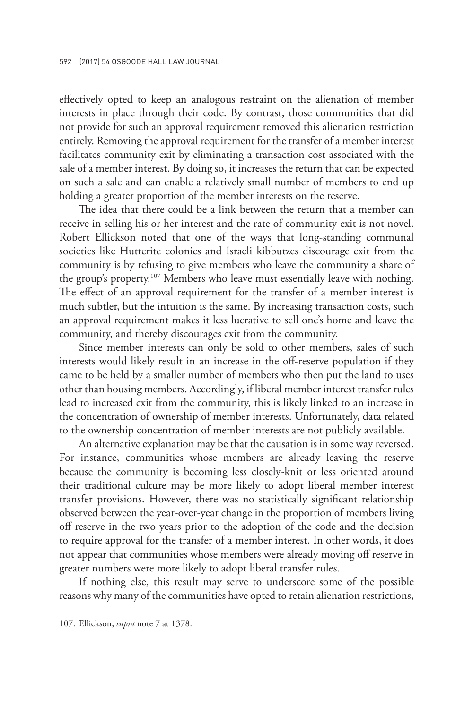effectively opted to keep an analogous restraint on the alienation of member interests in place through their code. By contrast, those communities that did not provide for such an approval requirement removed this alienation restriction entirely. Removing the approval requirement for the transfer of a member interest facilitates community exit by eliminating a transaction cost associated with the sale of a member interest. By doing so, it increases the return that can be expected on such a sale and can enable a relatively small number of members to end up holding a greater proportion of the member interests on the reserve.

The idea that there could be a link between the return that a member can receive in selling his or her interest and the rate of community exit is not novel. Robert Ellickson noted that one of the ways that long-standing communal societies like Hutterite colonies and Israeli kibbutzes discourage exit from the community is by refusing to give members who leave the community a share of the group's property.<sup>107</sup> Members who leave must essentially leave with nothing. The effect of an approval requirement for the transfer of a member interest is much subtler, but the intuition is the same. By increasing transaction costs, such an approval requirement makes it less lucrative to sell one's home and leave the community, and thereby discourages exit from the community.

Since member interests can only be sold to other members, sales of such interests would likely result in an increase in the off-reserve population if they came to be held by a smaller number of members who then put the land to uses other than housing members. Accordingly, if liberal member interest transfer rules lead to increased exit from the community, this is likely linked to an increase in the concentration of ownership of member interests. Unfortunately, data related to the ownership concentration of member interests are not publicly available.

An alternative explanation may be that the causation is in some way reversed. For instance, communities whose members are already leaving the reserve because the community is becoming less closely-knit or less oriented around their traditional culture may be more likely to adopt liberal member interest transfer provisions. However, there was no statistically significant relationship observed between the year-over-year change in the proportion of members living off reserve in the two years prior to the adoption of the code and the decision to require approval for the transfer of a member interest. In other words, it does not appear that communities whose members were already moving off reserve in greater numbers were more likely to adopt liberal transfer rules.

If nothing else, this result may serve to underscore some of the possible reasons why many of the communities have opted to retain alienation restrictions,

<sup>107.</sup> Ellickson, *supra* note 7 at 1378.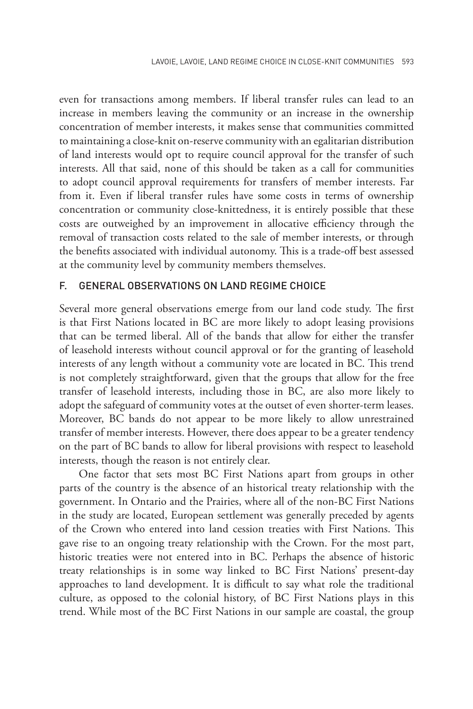even for transactions among members. If liberal transfer rules can lead to an increase in members leaving the community or an increase in the ownership concentration of member interests, it makes sense that communities committed to maintaining a close-knit on-reserve community with an egalitarian distribution of land interests would opt to require council approval for the transfer of such interests. All that said, none of this should be taken as a call for communities to adopt council approval requirements for transfers of member interests. Far from it. Even if liberal transfer rules have some costs in terms of ownership concentration or community close-knittedness, it is entirely possible that these costs are outweighed by an improvement in allocative efficiency through the removal of transaction costs related to the sale of member interests, or through the benefits associated with individual autonomy. This is a trade-off best assessed at the community level by community members themselves.

#### F. GENERAL OBSERVATIONS ON LAND REGIME CHOICE

Several more general observations emerge from our land code study. The first is that First Nations located in BC are more likely to adopt leasing provisions that can be termed liberal. All of the bands that allow for either the transfer of leasehold interests without council approval or for the granting of leasehold interests of any length without a community vote are located in BC. This trend is not completely straightforward, given that the groups that allow for the free transfer of leasehold interests, including those in BC, are also more likely to adopt the safeguard of community votes at the outset of even shorter-term leases. Moreover, BC bands do not appear to be more likely to allow unrestrained transfer of member interests. However, there does appear to be a greater tendency on the part of BC bands to allow for liberal provisions with respect to leasehold interests, though the reason is not entirely clear.

One factor that sets most BC First Nations apart from groups in other parts of the country is the absence of an historical treaty relationship with the government. In Ontario and the Prairies, where all of the non-BC First Nations in the study are located, European settlement was generally preceded by agents of the Crown who entered into land cession treaties with First Nations. This gave rise to an ongoing treaty relationship with the Crown. For the most part, historic treaties were not entered into in BC. Perhaps the absence of historic treaty relationships is in some way linked to BC First Nations' present-day approaches to land development. It is difficult to say what role the traditional culture, as opposed to the colonial history, of BC First Nations plays in this trend. While most of the BC First Nations in our sample are coastal, the group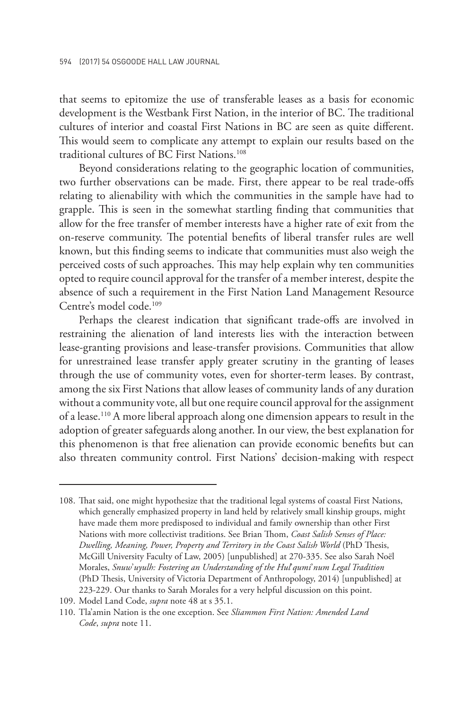that seems to epitomize the use of transferable leases as a basis for economic development is the Westbank First Nation, in the interior of BC. The traditional cultures of interior and coastal First Nations in BC are seen as quite different. This would seem to complicate any attempt to explain our results based on the traditional cultures of BC First Nations.<sup>108</sup>

Beyond considerations relating to the geographic location of communities, two further observations can be made. First, there appear to be real trade-offs relating to alienability with which the communities in the sample have had to grapple. This is seen in the somewhat startling finding that communities that allow for the free transfer of member interests have a higher rate of exit from the on-reserve community. The potential benefits of liberal transfer rules are well known, but this finding seems to indicate that communities must also weigh the perceived costs of such approaches. This may help explain why ten communities opted to require council approval for the transfer of a member interest, despite the absence of such a requirement in the First Nation Land Management Resource Centre's model code.109

Perhaps the clearest indication that significant trade-offs are involved in restraining the alienation of land interests lies with the interaction between lease-granting provisions and lease-transfer provisions. Communities that allow for unrestrained lease transfer apply greater scrutiny in the granting of leases through the use of community votes, even for shorter-term leases. By contrast, among the six First Nations that allow leases of community lands of any duration without a community vote, all but one require council approval for the assignment of a lease.110 A more liberal approach along one dimension appears to result in the adoption of greater safeguards along another. In our view, the best explanation for this phenomenon is that free alienation can provide economic benefits but can also threaten community control. First Nations' decision-making with respect

<sup>108.</sup> That said, one might hypothesize that the traditional legal systems of coastal First Nations, which generally emphasized property in land held by relatively small kinship groups, might have made them more predisposed to individual and family ownership than other First Nations with more collectivist traditions. See Brian Thom, *Coast Salish Senses of Place: Dwelling, Meaning, Power, Property and Territory in the Coast Salish World* (PhD Thesis, McGill University Faculty of Law, 2005) [unpublished] at 270-335. See also Sarah Noël Morales, *Snuw*'*uyulh: Fostering an Understanding of the Hul*'*qumi*'*num Legal Tradition* (PhD Thesis, University of Victoria Department of Anthropology, 2014) [unpublished] at 223-229. Our thanks to Sarah Morales for a very helpful discussion on this point.

<sup>109.</sup> Model Land Code, *supra* note 48 at s 35.1.

<sup>110.</sup> Tla'amin Nation is the one exception. See *Sliammon First Nation: Amended Land Code*, *supra* note 11.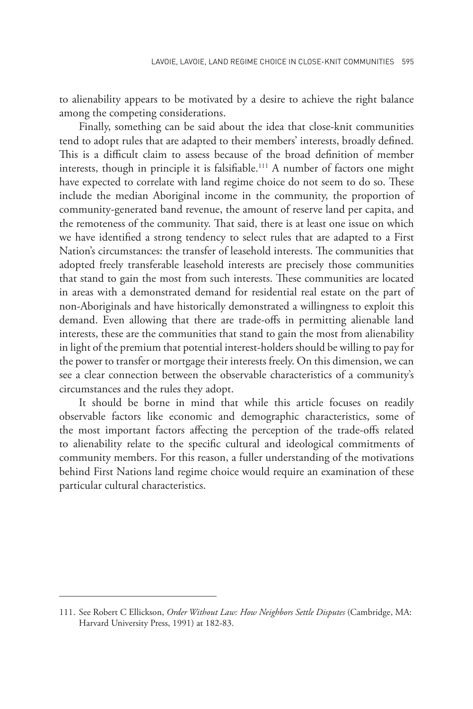to alienability appears to be motivated by a desire to achieve the right balance among the competing considerations.

Finally, something can be said about the idea that close-knit communities tend to adopt rules that are adapted to their members' interests, broadly defined. This is a difficult claim to assess because of the broad definition of member interests, though in principle it is falsifiable.<sup>111</sup> A number of factors one might have expected to correlate with land regime choice do not seem to do so. These include the median Aboriginal income in the community, the proportion of community-generated band revenue, the amount of reserve land per capita, and the remoteness of the community. That said, there is at least one issue on which we have identified a strong tendency to select rules that are adapted to a First Nation's circumstances: the transfer of leasehold interests. The communities that adopted freely transferable leasehold interests are precisely those communities that stand to gain the most from such interests. These communities are located in areas with a demonstrated demand for residential real estate on the part of non-Aboriginals and have historically demonstrated a willingness to exploit this demand. Even allowing that there are trade-offs in permitting alienable land interests, these are the communities that stand to gain the most from alienability in light of the premium that potential interest-holders should be willing to pay for the power to transfer or mortgage their interests freely. On this dimension, we can see a clear connection between the observable characteristics of a community's circumstances and the rules they adopt.

It should be borne in mind that while this article focuses on readily observable factors like economic and demographic characteristics, some of the most important factors affecting the perception of the trade-offs related to alienability relate to the specific cultural and ideological commitments of community members. For this reason, a fuller understanding of the motivations behind First Nations land regime choice would require an examination of these particular cultural characteristics.

<sup>111.</sup> See Robert C Ellickson, *Order Without Law: How Neighbors Settle Disputes* (Cambridge, MA: Harvard University Press, 1991) at 182-83.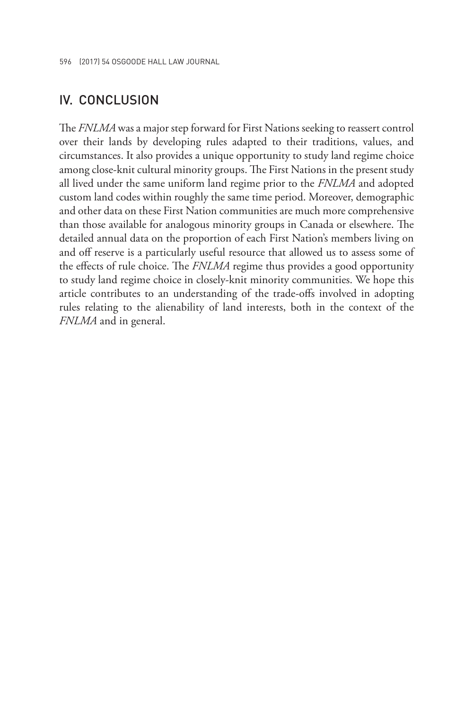## IV. CONCLUSION

The *FNLMA* was a major step forward for First Nations seeking to reassert control over their lands by developing rules adapted to their traditions, values, and circumstances. It also provides a unique opportunity to study land regime choice among close-knit cultural minority groups. The First Nations in the present study all lived under the same uniform land regime prior to the *FNLMA* and adopted custom land codes within roughly the same time period. Moreover, demographic and other data on these First Nation communities are much more comprehensive than those available for analogous minority groups in Canada or elsewhere. The detailed annual data on the proportion of each First Nation's members living on and off reserve is a particularly useful resource that allowed us to assess some of the effects of rule choice. The *FNLMA* regime thus provides a good opportunity to study land regime choice in closely-knit minority communities. We hope this article contributes to an understanding of the trade-offs involved in adopting rules relating to the alienability of land interests, both in the context of the *FNLMA* and in general.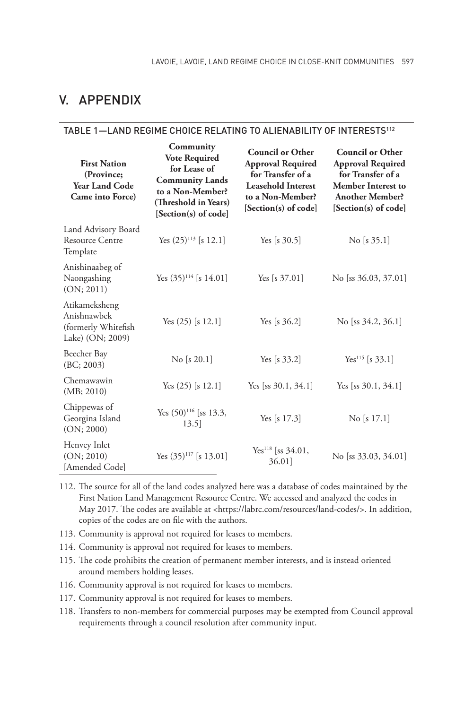# V. APPENDIX

#### TABLE 1—LAND REGIME CHOICE RELATING TO ALIENABILITY OF INTERESTS112

| <b>First Nation</b><br>(Province;<br><b>Year Land Code</b><br>Came into Force) | Community<br><b>Vote Required</b><br>for Lease of<br><b>Community Lands</b><br>to a Non-Member?<br>(Threshold in Years)<br>[Section(s) of code] | <b>Council or Other</b><br><b>Approval Required</b><br>for Transfer of a<br><b>Leasehold Interest</b><br>to a Non-Member?<br>[Section(s) of code] | <b>Council or Other</b><br><b>Approval Required</b><br>for Transfer of a<br><b>Member Interest to</b><br><b>Another Member?</b><br>[Section(s) of code] |
|--------------------------------------------------------------------------------|-------------------------------------------------------------------------------------------------------------------------------------------------|---------------------------------------------------------------------------------------------------------------------------------------------------|---------------------------------------------------------------------------------------------------------------------------------------------------------|
| Land Advisory Board<br><b>Resource Centre</b><br>Template                      | Yes $(25)^{113}$ [s 12.1]                                                                                                                       | Yes [s $30.5$ ]                                                                                                                                   | No [s $35.1$ ]                                                                                                                                          |
| Anishinaabeg of<br>Naongashing<br>(ON; 2011)                                   | Yes $(35)^{114}$ [s 14.01]                                                                                                                      | Yes [s $37.01$ ]                                                                                                                                  | No [ss $36.03, 37.01$ ]                                                                                                                                 |
| Atikameksheng<br>Anishnawbek<br>(formerly Whitefish<br>Lake) (ON; 2009)        | Yes $(25)$ [s 12.1]                                                                                                                             | Yes [s $36.2$ ]                                                                                                                                   | No [ss $34.2, 36.1$ ]                                                                                                                                   |
| Beecher Bay<br>(BC; 2003)                                                      | $\mathrm{No}$ [s 20.1]                                                                                                                          | Yes [s $33.2$ ]                                                                                                                                   | Yes <sup>115</sup> [s 33.1]                                                                                                                             |
| Chemawawin<br>(MB; 2010)                                                       | Yes $(25)$ [s 12.1]                                                                                                                             | Yes [ss $30.1, 34.1$ ]                                                                                                                            | Yes [ss $30.1, 34.1$ ]                                                                                                                                  |
| Chippewas of<br>Georgina Island<br>(ON; 2000)                                  | Yes $(50)^{116}$ [ss 13.3,<br>13.5                                                                                                              | Yes [s $17.3$ ]                                                                                                                                   | $\rm{No}$ [s 17.1]                                                                                                                                      |
| Henvey Inlet<br>(ON; 2010)<br>[Amended Code]                                   | Yes $(35)^{117}$ [s 13.01]                                                                                                                      | Yes <sup>118</sup> [ss $34.01$ ,<br>36.01]                                                                                                        | No [ss $33.03, 34.01$ ]                                                                                                                                 |

- 112. The source for all of the land codes analyzed here was a database of codes maintained by the First Nation Land Management Resource Centre. We accessed and analyzed the codes in May 2017. The codes are available at <https://labrc.com/resources/land-codes/>. In addition, copies of the codes are on file with the authors.
- 113. Community is approval not required for leases to members.
- 114. Community is approval not required for leases to members.
- 115. The code prohibits the creation of permanent member interests, and is instead oriented around members holding leases.
- 116. Community approval is not required for leases to members.
- 117. Community approval is not required for leases to members.
- 118. Transfers to non-members for commercial purposes may be exempted from Council approval requirements through a council resolution after community input.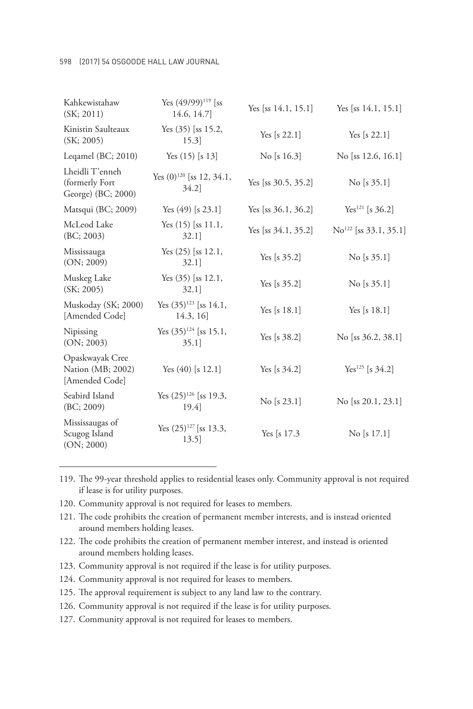#### 598 (2017) 54 OSGOODE HALL LAW JOURNAL

| Kahkewistahaw<br>(SK; 2011)                             | Yes $(49/99)^{119}$ [ss<br>14.6, 14.7]        | Yes [ss $14.1, 15.1$ ] | Yes [ss $14.1, 15.1$ ]            |
|---------------------------------------------------------|-----------------------------------------------|------------------------|-----------------------------------|
| Kinistin Saulteaux<br>(SK; 2005)                        | Yes $(35)$ [ss 15.2,<br>15.3]                 | Yes [s $22.1$ ]        | Yes [s $22.1$ ]                   |
| Leqamel $(BC; 2010)$                                    | Yes $(15)$ [s 13]                             | No [s $16.3$ ]         | No [ss $12.6, 16.1$ ]             |
| Lheidli T'enneh<br>(formerly Fort<br>George) (BC; 2000) | Yes $(0)^{120}$ [ss 12, 34.1,<br>34.2         | Yes [ss $30.5, 35.2$ ] | No [s $35.1$ ]                    |
| Matsqui (BC; 2009)                                      | Yes $(49)$ [s 23.1]                           | Yes [ss $36.1, 36.2$ ] | Yes <sup>121</sup> [s 36.2]       |
| McLeod Lake<br>(BC; 2003)                               | Yes $(15)$ [ss $11.1$ ,<br>$32.1$ ]           | Yes [ss $34.1, 35.2$ ] | $\text{No}^{122}$ [ss 33.1, 35.1] |
| Mississauga<br>(ON; 2009)                               | Yes $(25)$ [ss 12.1,<br>$32.1$ ]              | Yes [s $35.2$ ]        | No [s $35.1$ ]                    |
| Muskeg Lake<br>(SK; 2005)                               | Yes $(35)$ [ss 12.1,<br>$32.1$ ]              | Yes [s $35.2$ ]        | No [s $35.1$ ]                    |
| Muskoday (SK; 2000)<br>[Amended Code]                   | Yes $(35)^{123}$ [ss 14.1,<br>14.3, 16        | Yes [s $18.1$ ]        | Yes [s $18.1$ ]                   |
| Nipissing<br>(ON; 2003)                                 | Yes $(35)^{124}$ [ss 15.1,<br>35.1            | Yes [s $38.2$ ]        | No [ss $36.2, 38.1$ ]             |
| Opaskwayak Cree<br>Nation (MB; 2002)<br>[Amended Code]  | Yes $(40)$ [s 12.1]                           | Yes [s $34.2$ ]        | Yes <sup>125</sup> [s $34.2$ ]    |
| Seabird Island<br>(BC; 2009)                            | Yes (25) <sup>126</sup> [ss 19.3,<br>$19.4$ ] | No [s 23.1]            | No [ss 20.1, 23.1]                |
| Mississaugas of<br>Scugog Island<br>(ON; 2000)          | Yes $(25)^{127}$ [ss 13.3,<br>13.5            | Yes [s $17.3$ ]        | $\rm{No}$ [s 17.1]                |

119. The 99-year threshold applies to residential leases only. Community approval is not required if lease is for utility purposes.

120. Community approval is not required for leases to members.

121. The code prohibits the creation of permanent member interests, and is instead oriented around members holding leases.

122. The code prohibits the creation of permanent member interest, and instead is oriented around members holding leases.

123. Community approval is not required if the lease is for utility purposes.

124. Community approval is not required for leases to members.

125. The approval requirement is subject to any land law to the contrary.

126. Community approval is not required if the lease is for utility purposes.

127. Community approval is not required for leases to members.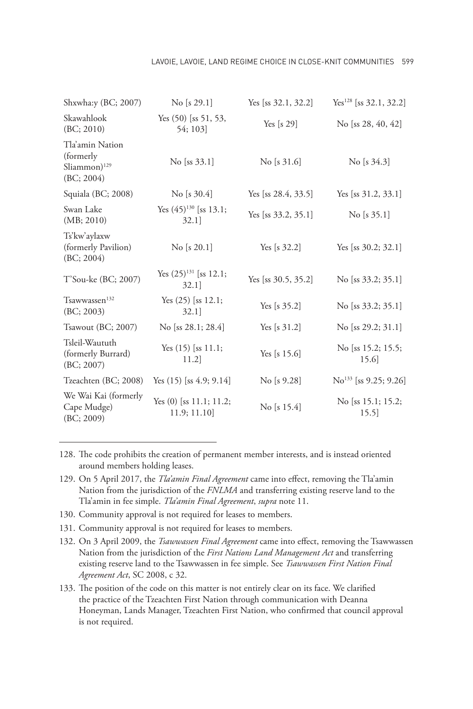#### Lavoie, Lavoie, Land Regime Choice in Close-Knit Communities 599

| Shxwha:y (BC; 2007)                                                        | $\mathrm{No}$ [s 29.1]                   | Yes [ss $32.1, 32.2$ ] | $Yes^{128}$ [ss 32.1, 32.2]       |
|----------------------------------------------------------------------------|------------------------------------------|------------------------|-----------------------------------|
| Skawahlook<br>(BC; 2010)                                                   | Yes $(50)$ [ss 51, 53,<br>54; 103]       | Yes [s $29$ ]          | No [ss $28, 40, 42$ ]             |
| Tla'amin Nation<br>(formerly)<br>$S$ liammon) <sup>129</sup><br>(BC; 2004) | $No$ [ss 33.1]                           | No [s $31.6$ ]         | No [s $34.3$ ]                    |
| Squiala (BC; 2008)                                                         | No [s $30.4$ ]                           | Yes [ss $28.4, 33.5$ ] | Yes [ss $31.2, 33.1$ ]            |
| Swan Lake<br>(MB; 2010)                                                    | Yes $(45)^{130}$ [ss 13.1;<br>$32.1$ ]   | Yes [ss $33.2, 35.1$ ] | No [s $35.1$ ]                    |
| Ts'kw'aylaxw<br>(formerly Pavilion)<br>(BC; 2004)                          | No [s 20.1]                              | Yes [s $32.2$ ]        | Yes [ss $30.2; 32.1$ ]            |
| T'Sou-ke (BC; 2007)                                                        | Yes $(25)^{131}$ [ss 12.1;<br>$32.1$ ]   | Yes [ss $30.5, 35.2$ ] | No [ss 33.2; 35.1]                |
| Tsawwassen <sup>132</sup><br>(BC; 2003)                                    | Yes $(25)$ [ss 12.1;<br>$32.1$ ]         | Yes [s $35.2$ ]        | No [ss $33.2$ ; $35.1$ ]          |
| Tsawout (BC; 2007)                                                         | No [ss $28.1; 28.4$ ]                    | Yes [s $31.2$ ]        | No [ss 29.2; $31.1$ ]             |
| Tsleil-Waututh<br>(formerly Burrard)<br>(BC; 2007)                         | Yes $(15)$ [ss $11.1$ ;<br>11.2          | Yes [s $15.6$ ]        | No [ss 15.2; 15.5;<br>15.6        |
| Tzeachten (BC; 2008)                                                       | Yes $(15)$ [ss 4.9; 9.14]                | No [s 9.28]            | $\text{No}^{133}$ [ss 9.25; 9.26] |
| We Wai Kai (formerly<br>Cape Mudge)<br>(BC; 2009)                          | Yes $(0)$ [ss 11.1; 11.2;<br>11.9; 11.10 | No [s $15.4$ ]         | No [ss 15.1; 15.2;<br>15.5]       |

128. The code prohibits the creation of permanent member interests, and is instead oriented around members holding leases.

- 129. On 5 April 2017, the *Tla'amin Final Agreement* came into effect, removing the Tla'amin Nation from the jurisdiction of the *FNLMA* and transferring existing reserve land to the Tla'amin in fee simple. *Tla'amin Final Agreement*, *supra* note 11.
- 130. Community approval is not required for leases to members.
- 131. Community approval is not required for leases to members.
- 132. On 3 April 2009, the *Tsawwassen Final Agreement* came into effect, removing the Tsawwassen Nation from the jurisdiction of the *First Nations Land Management Act* and transferring existing reserve land to the Tsawwassen in fee simple. See *Tsawwassen First Nation Final Agreement Act*, SC 2008, c 32.
- 133. The position of the code on this matter is not entirely clear on its face. We clarified the practice of the Tzeachten First Nation through communication with Deanna Honeyman, Lands Manager, Tzeachten First Nation, who confirmed that council approval is not required.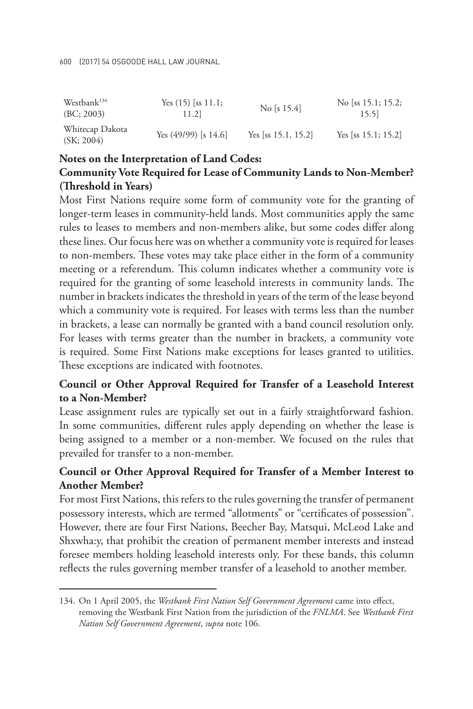#### 600 (2017) 54 OSGOODE HALL LAW JOURNAL

| Westbank <sup>134</sup>       | Yes $(15)$ [ss $11.1$ ; | No [s $15.4$ ]         | No [ss $15.1$ ; $15.2$ ;  |
|-------------------------------|-------------------------|------------------------|---------------------------|
| (BC; 2003)                    | 11.2                    |                        | 15.51                     |
| Whitecap Dakota<br>(SK; 2004) | Yes $(49/99)$ [s 14.6]  | Yes [ss $15.1, 15.2$ ] | Yes [ss $15.1$ ; $15.2$ ] |

## **Notes on the Interpretation of Land Codes: Community Vote Required for Lease of Community Lands to Non-Member? (Threshold in Years)**

Most First Nations require some form of community vote for the granting of longer-term leases in community-held lands. Most communities apply the same rules to leases to members and non-members alike, but some codes differ along these lines. Our focus here was on whether a community vote is required for leases to non-members. These votes may take place either in the form of a community meeting or a referendum. This column indicates whether a community vote is required for the granting of some leasehold interests in community lands. The number in brackets indicates the threshold in years of the term of the lease beyond which a community vote is required. For leases with terms less than the number in brackets, a lease can normally be granted with a band council resolution only. For leases with terms greater than the number in brackets, a community vote is required. Some First Nations make exceptions for leases granted to utilities. These exceptions are indicated with footnotes.

## **Council or Other Approval Required for Transfer of a Leasehold Interest to a Non-Member?**

Lease assignment rules are typically set out in a fairly straightforward fashion. In some communities, different rules apply depending on whether the lease is being assigned to a member or a non-member. We focused on the rules that prevailed for transfer to a non-member.

## **Council or Other Approval Required for Transfer of a Member Interest to Another Member?**

For most First Nations, this refers to the rules governing the transfer of permanent possessory interests, which are termed "allotments" or "certificates of possession". However, there are four First Nations, Beecher Bay, Matsqui, McLeod Lake and Shxwha:y, that prohibit the creation of permanent member interests and instead foresee members holding leasehold interests only. For these bands, this column reflects the rules governing member transfer of a leasehold to another member.

<sup>134.</sup> On 1 April 2005, the *Westbank First Nation Self Government Agreement* came into effect, removing the Westbank First Nation from the jurisdiction of the *FNLMA*. See *Westbank First Nation Self Government Agreement*, *supra* note 106.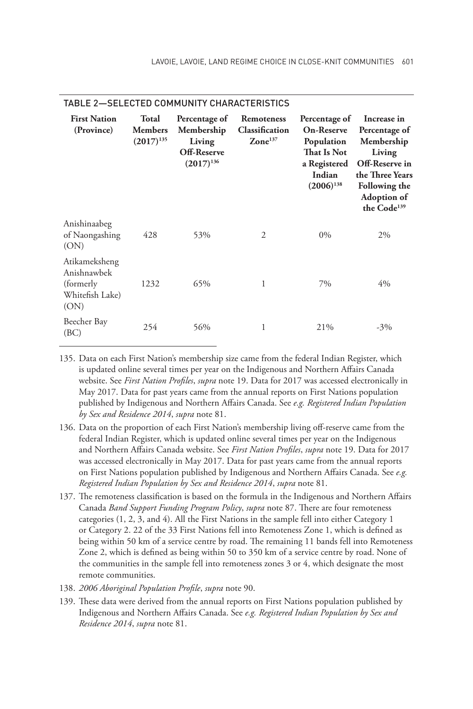| <b>First Nation</b><br>(Province)                                     | <b>Total</b><br><b>Members</b><br>$(2017)^{135}$ | Percentage of<br>Membership<br>Living<br>Off-Reserve<br>$(2017)^{136}$ | Remoteness<br>Classification<br>$\mathbf{Zone}^{137}$ | Percentage of<br><b>On-Reserve</b><br>Population<br>That Is Not<br>a Registered<br>Indian<br>$(2006)^{138}$ | Increase in<br>Percentage of<br>Membership<br>Living<br>Off-Reserve in<br>the Three Years<br>Following the<br><b>Adoption of</b><br>the Code <sup>139</sup> |
|-----------------------------------------------------------------------|--------------------------------------------------|------------------------------------------------------------------------|-------------------------------------------------------|-------------------------------------------------------------------------------------------------------------|-------------------------------------------------------------------------------------------------------------------------------------------------------------|
| Anishinaabeg<br>of Naongashing<br>(ON)                                | 428                                              | 53%                                                                    | $\overline{2}$                                        | $0\%$                                                                                                       | 2%                                                                                                                                                          |
| Atikameksheng<br>Anishnawbek<br>(formerly)<br>Whitefish Lake)<br>(ON) | 1232                                             | 65%                                                                    | 1                                                     | 7%                                                                                                          | $4\%$                                                                                                                                                       |
| Beecher Bay<br>(BC)                                                   | 254                                              | 56%                                                                    | 1                                                     | 21%                                                                                                         | $-3\%$                                                                                                                                                      |

#### TABLE 2—SELECTED COMMUNITY CHARACTERISTICS

135. Data on each First Nation's membership size came from the federal Indian Register, which is updated online several times per year on the Indigenous and Northern Affairs Canada website. See *First Nation Profiles*, *supra* note 19. Data for 2017 was accessed electronically in May 2017. Data for past years came from the annual reports on First Nations population published by Indigenous and Northern Affairs Canada. See *e.g. Registered Indian Population by Sex and Residence 2014*, *supra* note 81.

- 136. Data on the proportion of each First Nation's membership living off-reserve came from the federal Indian Register, which is updated online several times per year on the Indigenous and Northern Affairs Canada website. See *First Nation Profiles*, *supra* note 19. Data for 2017 was accessed electronically in May 2017. Data for past years came from the annual reports on First Nations population published by Indigenous and Northern Affairs Canada. See *e.g. Registered Indian Population by Sex and Residence 2014*, *supra* note 81.
- 137. The remoteness classification is based on the formula in the Indigenous and Northern Affairs Canada *Band Support Funding Program Policy*, *supra* note 87. There are four remoteness categories (1, 2, 3, and 4). All the First Nations in the sample fell into either Category 1 or Category 2. 22 of the 33 First Nations fell into Remoteness Zone 1, which is defined as being within 50 km of a service centre by road. The remaining 11 bands fell into Remoteness Zone 2, which is defined as being within 50 to 350 km of a service centre by road. None of the communities in the sample fell into remoteness zones 3 or 4, which designate the most remote communities.
- 138. *2006 Aboriginal Population Profile*, *supra* note 90.
- 139. These data were derived from the annual reports on First Nations population published by Indigenous and Northern Affairs Canada. See *e.g. Registered Indian Population by Sex and Residence 2014*, *supra* note 81.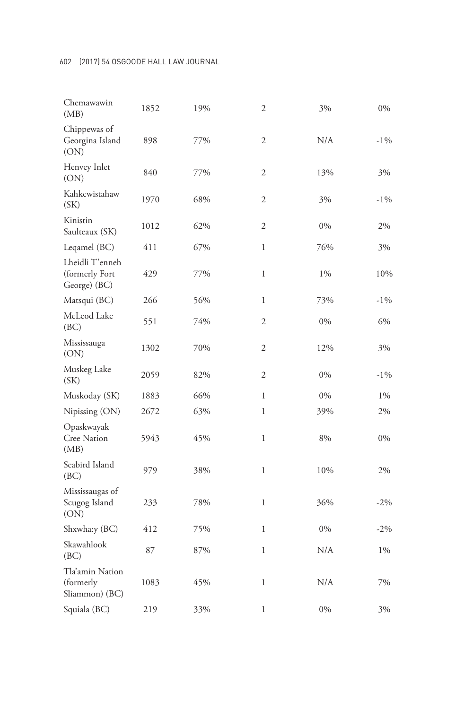| 1852 | 19% | 2              | 3%    | $0\%$  |
|------|-----|----------------|-------|--------|
| 898  | 77% | $\overline{c}$ | N/A   | $-1\%$ |
| 840  | 77% | 2              | 13%   | 3%     |
| 1970 | 68% | $\overline{c}$ | 3%    | $-1\%$ |
| 1012 | 62% | $\overline{c}$ | $0\%$ | 2%     |
| 411  | 67% | $\mathbf{1}$   | 76%   | 3%     |
| 429  | 77% | 1              | 1%    | 10%    |
| 266  | 56% | $\mathbf{1}$   | 73%   | $-1\%$ |
| 551  | 74% | $\overline{c}$ | 0%    | 6%     |
| 1302 | 70% | $\overline{2}$ | 12%   | 3%     |
| 2059 | 82% | $\overline{2}$ | 0%    | $-1\%$ |
| 1883 | 66% | $\mathbf{1}$   | 0%    | $1\%$  |
| 2672 | 63% | $\mathbf{1}$   | 39%   | 2%     |
| 5943 | 45% | $\mathbf{1}$   | 8%    | 0%     |
| 979  | 38% | $\mathbf{1}$   | 10%   | 2%     |
| 233  | 78% | 1              | 36%   | $-2\%$ |
| 412  | 75% | $\mathbf{1}$   | 0%    | $-2\%$ |
| 87   | 87% | $\mathbf{1}$   | N/A   | $1\%$  |
| 1083 | 45% | $\mathbf{1}$   | N/A   | 7%     |
| 219  | 33% | $\,1$          | $0\%$ | 3%     |
|      |     |                |       |        |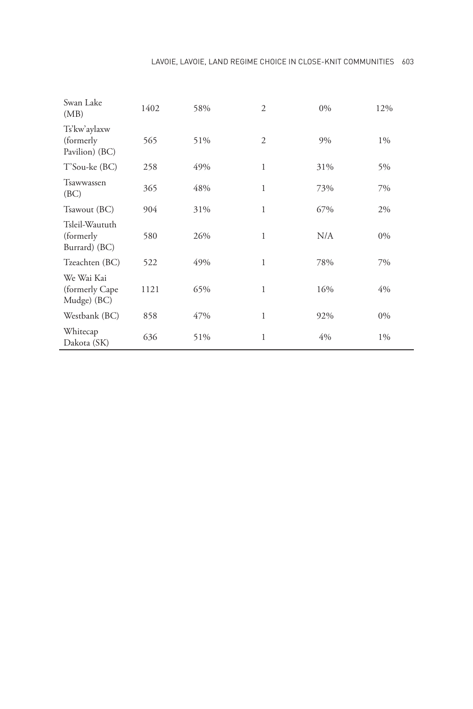| Swan Lake<br>(MB)                             | 1402 | 58% | $\overline{2}$ | $0\%$ | 12%   |
|-----------------------------------------------|------|-----|----------------|-------|-------|
| Ts'kw'aylaxw<br>(formerly<br>Pavilion) (BC)   | 565  | 51% | $\overline{2}$ | 9%    | $1\%$ |
| T'Sou-ke (BC)                                 | 258  | 49% | 1              | 31%   | 5%    |
| Tsawwassen<br>(BC)                            | 365  | 48% | $\mathbf{1}$   | 73%   | 7%    |
| Tsawout (BC)                                  | 904  | 31% | 1              | 67%   | 2%    |
| Tsleil-Waututh<br>(formerly)<br>Burrard) (BC) | 580  | 26% | 1              | N/A   | $0\%$ |
| Tzeachten (BC)                                | 522  | 49% | 1              | 78%   | 7%    |
| We Wai Kai<br>(formerly Cape<br>Mudge) (BC)   | 1121 | 65% | $\mathbf{1}$   | 16%   | 4%    |
| Westbank (BC)                                 | 858  | 47% | 1              | 92%   | $0\%$ |
| Whitecap<br>Dakota (SK)                       | 636  | 51% | 1              | 4%    | $1\%$ |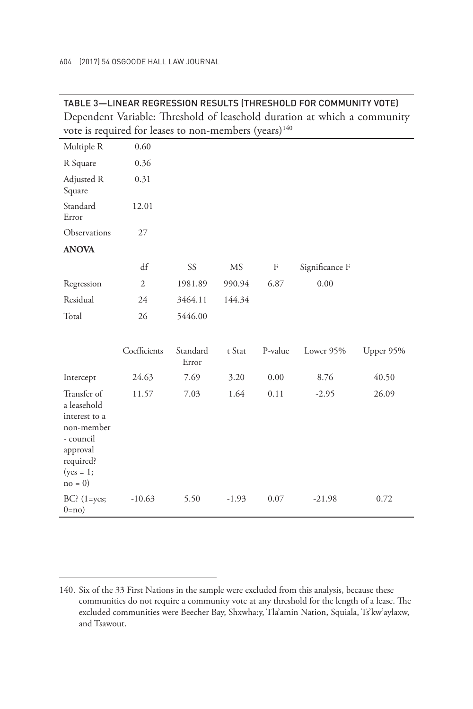| Dependent Variable: Threshold of leasehold duration at which a community<br>vote is required for leases to non-members (years) <sup>140</sup> |                |                   |           |         |                |           |  |
|-----------------------------------------------------------------------------------------------------------------------------------------------|----------------|-------------------|-----------|---------|----------------|-----------|--|
| Multiple R                                                                                                                                    | 0.60           |                   |           |         |                |           |  |
| R Square                                                                                                                                      | 0.36           |                   |           |         |                |           |  |
| Adjusted R<br>Square                                                                                                                          | 0.31           |                   |           |         |                |           |  |
| Standard<br>Error                                                                                                                             | 12.01          |                   |           |         |                |           |  |
| Observations                                                                                                                                  | 27             |                   |           |         |                |           |  |
| <b>ANOVA</b>                                                                                                                                  |                |                   |           |         |                |           |  |
|                                                                                                                                               | df             | SS                | <b>MS</b> | F       | Significance F |           |  |
| Regression                                                                                                                                    | $\mathfrak{2}$ | 1981.89           | 990.94    | 6.87    | 0.00           |           |  |
| Residual                                                                                                                                      | 24             | 3464.11           | 144.34    |         |                |           |  |
| Total                                                                                                                                         | 26             | 5446.00           |           |         |                |           |  |
|                                                                                                                                               |                |                   |           |         |                |           |  |
|                                                                                                                                               | Coefficients   | Standard<br>Error | t Stat    | P-value | Lower 95%      | Upper 95% |  |
| Intercept                                                                                                                                     | 24.63          | 7.69              | 3.20      | 0.00    | 8.76           | 40.50     |  |
| Transfer of<br>a leasehold<br>interest to a<br>non-member<br>- council<br>approval<br>required?<br>$(yes = 1;$<br>$no = 0$                    | 11.57          | 7.03              | 1.64      | 0.11    | $-2.95$        | 26.09     |  |
| $BC$ ? (1=yes;<br>$0=no$                                                                                                                      | $-10.63$       | 5.50              | $-1.93$   | 0.07    | $-21.98$       | 0.72      |  |

TABLE 3—LINEAR REGRESSION RESULTS (THRESHOLD FOR COMMUNITY VOTE)

<sup>140.</sup> Six of the 33 First Nations in the sample were excluded from this analysis, because these communities do not require a community vote at any threshold for the length of a lease. The excluded communities were Beecher Bay, Shxwha:y, Tla'amin Nation, Squiala, Ts'kw'aylaxw, and Tsawout.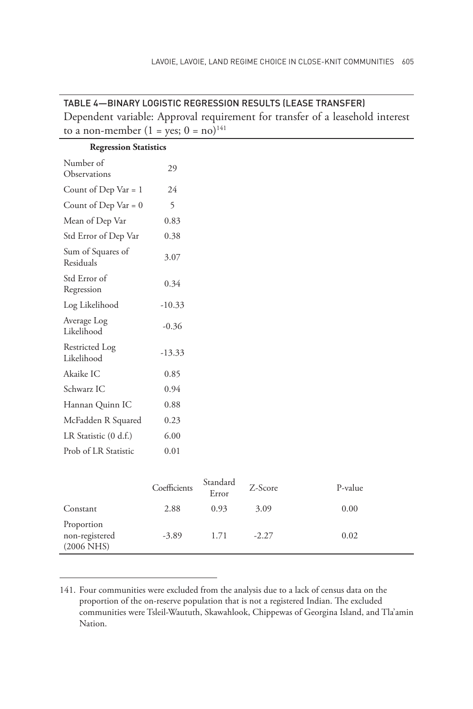| <u> IABLE 4 — BINART LUVISTIU REVRESSIUN RESULTS (LEASE TRANSFER)</u> |              |                   |         |                                                                               |  |  |
|-----------------------------------------------------------------------|--------------|-------------------|---------|-------------------------------------------------------------------------------|--|--|
|                                                                       |              |                   |         | Dependent variable: Approval requirement for transfer of a leasehold interest |  |  |
| to a non-member $(1 = yes; 0 = no)^{141}$                             |              |                   |         |                                                                               |  |  |
| <b>Regression Statistics</b>                                          |              |                   |         |                                                                               |  |  |
| Number of<br>Observations                                             | 29           |                   |         |                                                                               |  |  |
| Count of Dep Var = 1                                                  | 24           |                   |         |                                                                               |  |  |
| Count of Dep Var = $0$                                                | 5            |                   |         |                                                                               |  |  |
| Mean of Dep Var                                                       | 0.83         |                   |         |                                                                               |  |  |
| Std Error of Dep Var                                                  | 0.38         |                   |         |                                                                               |  |  |
| Sum of Squares of<br>Residuals                                        | 3.07         |                   |         |                                                                               |  |  |
| Std Error of<br>Regression                                            | 0.34         |                   |         |                                                                               |  |  |
| Log Likelihood                                                        | $-10.33$     |                   |         |                                                                               |  |  |
| Average Log<br>Likelihood                                             | $-0.36$      |                   |         |                                                                               |  |  |
| Restricted Log<br>Likelihood                                          | $-13.33$     |                   |         |                                                                               |  |  |
| Akaike IC                                                             | 0.85         |                   |         |                                                                               |  |  |
| Schwarz IC                                                            | 0.94         |                   |         |                                                                               |  |  |
| Hannan Quinn IC                                                       | 0.88         |                   |         |                                                                               |  |  |
| McFadden R Squared                                                    | 0.23         |                   |         |                                                                               |  |  |
| LR Statistic (0 d.f.)                                                 | 6.00         |                   |         |                                                                               |  |  |
| Prob of LR Statistic                                                  | 0.01         |                   |         |                                                                               |  |  |
|                                                                       |              |                   |         |                                                                               |  |  |
|                                                                       | Coefficients | Standard<br>Error | Z-Score | P-value                                                                       |  |  |
| Constant                                                              | 2.88         | 0.93              | 3.09    | 0.00                                                                          |  |  |
| Proportion<br>non-registered<br>$(2006$ NHS)                          | $-3.89$      | 1.71              | $-2.27$ | 0.02                                                                          |  |  |

TABLE 4—BINARY LOGISTIC REGRESSION RESULTS (LEASE TRANSFER)

<sup>141.</sup> Four communities were excluded from the analysis due to a lack of census data on the proportion of the on-reserve population that is not a registered Indian. The excluded communities were Tsleil-Waututh, Skawahlook, Chippewas of Georgina Island, and Tla'amin Nation.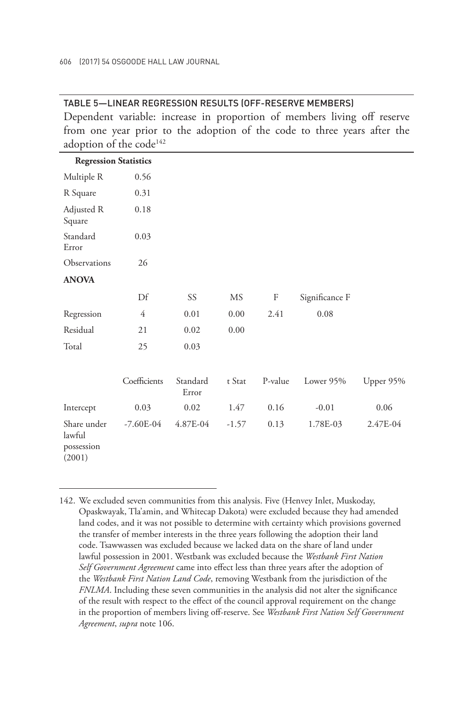#### TABLE 5—LINEAR REGRESSION RESULTS (OFF-RESERVE MEMBERS)

Dependent variable: increase in proportion of members living off reserve from one year prior to the adoption of the code to three years after the adoption of the code<sup>142</sup>

| <b>Regression Statistics</b>                  |              |                   |         |         |                |           |
|-----------------------------------------------|--------------|-------------------|---------|---------|----------------|-----------|
| Multiple R                                    | 0.56         |                   |         |         |                |           |
| R Square                                      | 0.31         |                   |         |         |                |           |
| Adjusted R<br>Square                          | 0.18         |                   |         |         |                |           |
| Standard<br>Error                             | 0.03         |                   |         |         |                |           |
| Observations                                  | 26           |                   |         |         |                |           |
| <b>ANOVA</b>                                  |              |                   |         |         |                |           |
|                                               | Df           | SS                | MS      | F       | Significance F |           |
| Regression                                    | 4            | 0.01              | 0.00    | 2.41    | 0.08           |           |
| Residual                                      | 21           | 0.02              | 0.00    |         |                |           |
| Total                                         | 25           | 0.03              |         |         |                |           |
|                                               |              |                   |         |         |                |           |
|                                               | Coefficients | Standard<br>Error | t Stat  | P-value | Lower 95%      | Upper 95% |
| Intercept                                     | 0.03         | 0.02              | 1.47    | 0.16    | $-0.01$        | 0.06      |
| Share under<br>lawful<br>possession<br>(2001) | $-7.60E-04$  | 4.87E-04          | $-1.57$ | 0.13    | 1.78E-03       | 2.47E-04  |

<sup>142.</sup> We excluded seven communities from this analysis. Five (Henvey Inlet, Muskoday, Opaskwayak, Tla'amin, and Whitecap Dakota) were excluded because they had amended land codes, and it was not possible to determine with certainty which provisions governed the transfer of member interests in the three years following the adoption their land code. Tsawwassen was excluded because we lacked data on the share of land under lawful possession in 2001. Westbank was excluded because the *Westbank First Nation Self Government Agreement* came into effect less than three years after the adoption of the *Westbank First Nation Land Code*, removing Westbank from the jurisdiction of the *FNLMA*. Including these seven communities in the analysis did not alter the significance of the result with respect to the effect of the council approval requirement on the change in the proportion of members living off-reserve. See *Westbank First Nation Self Government Agreement*, *supra* note 106.